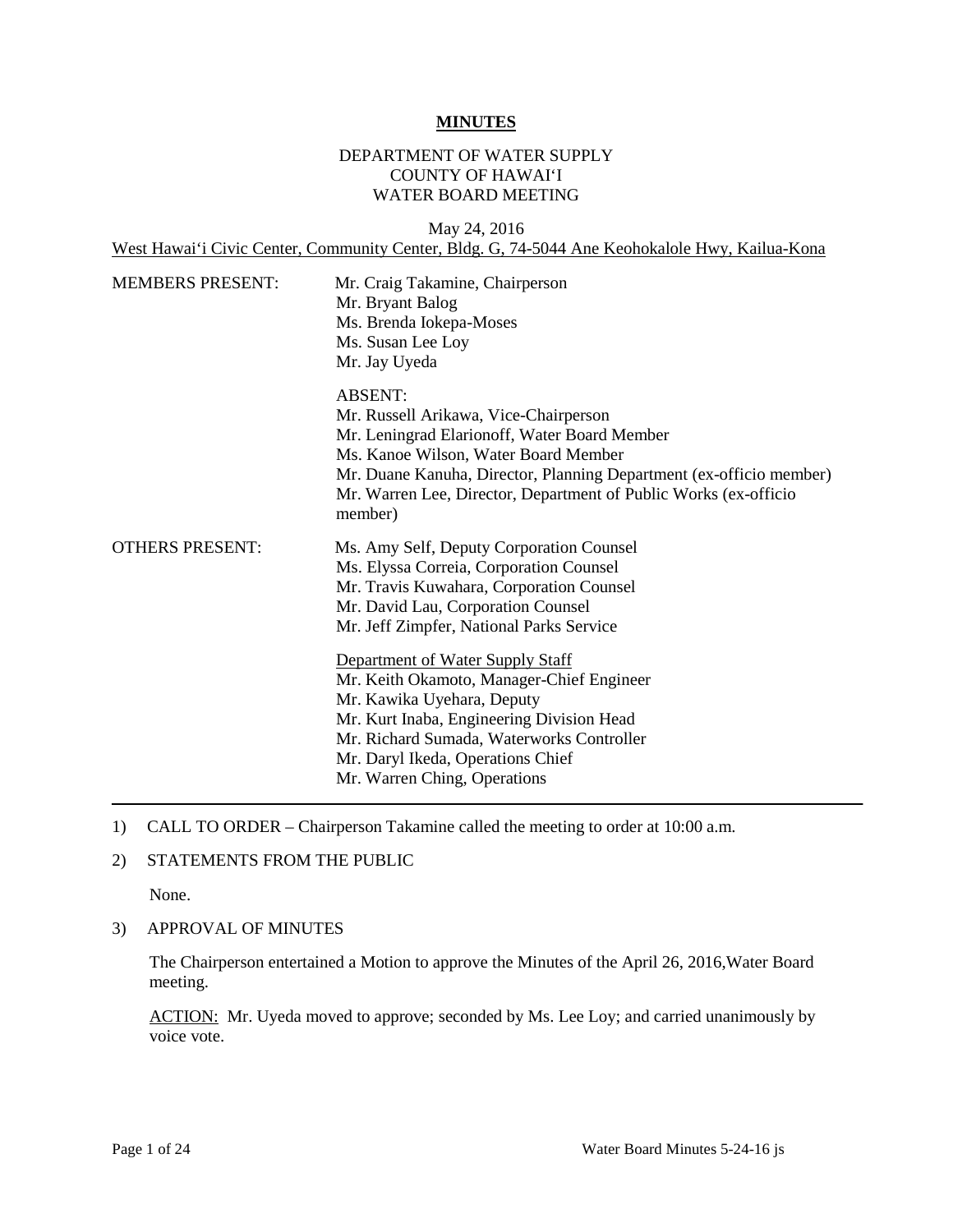#### **MINUTES**

### DEPARTMENT OF WATER SUPPLY COUNTY OF HAWAI'I WATER BOARD MEETING

May 24, 2016 West Hawai'i Civic Center, Community Center, Bldg. G, 74-5044 Ane Keohokalole Hwy, Kailua-Kona

| <b>MEMBERS PRESENT:</b> | Mr. Craig Takamine, Chairperson<br>Mr. Bryant Balog<br>Ms. Brenda Iokepa-Moses<br>Ms. Susan Lee Loy<br>Mr. Jay Uyeda                                                                                                                                                                                                                                                                                                       |
|-------------------------|----------------------------------------------------------------------------------------------------------------------------------------------------------------------------------------------------------------------------------------------------------------------------------------------------------------------------------------------------------------------------------------------------------------------------|
|                         | <b>ABSENT:</b><br>Mr. Russell Arikawa, Vice-Chairperson<br>Mr. Leningrad Elarionoff, Water Board Member<br>Ms. Kanoe Wilson, Water Board Member<br>Mr. Duane Kanuha, Director, Planning Department (ex-officio member)<br>Mr. Warren Lee, Director, Department of Public Works (ex-officio<br>member)                                                                                                                      |
| <b>OTHERS PRESENT:</b>  | Ms. Amy Self, Deputy Corporation Counsel<br>Ms. Elyssa Correia, Corporation Counsel<br>Mr. Travis Kuwahara, Corporation Counsel<br>Mr. David Lau, Corporation Counsel<br>Mr. Jeff Zimpfer, National Parks Service<br>Department of Water Supply Staff<br>Mr. Keith Okamoto, Manager-Chief Engineer<br>Mr. Kawika Uyehara, Deputy<br>Mr. Kurt Inaba, Engineering Division Head<br>Mr. Richard Sumada, Waterworks Controller |
|                         | Mr. Daryl Ikeda, Operations Chief<br>Mr. Warren Ching, Operations                                                                                                                                                                                                                                                                                                                                                          |

1) CALL TO ORDER – Chairperson Takamine called the meeting to order at 10:00 a.m.

### 2) STATEMENTS FROM THE PUBLIC

None.

### 3) APPROVAL OF MINUTES

The Chairperson entertained a Motion to approve the Minutes of the April 26, 2016,Water Board meeting.

ACTION: Mr. Uyeda moved to approve; seconded by Ms. Lee Loy; and carried unanimously by voice vote.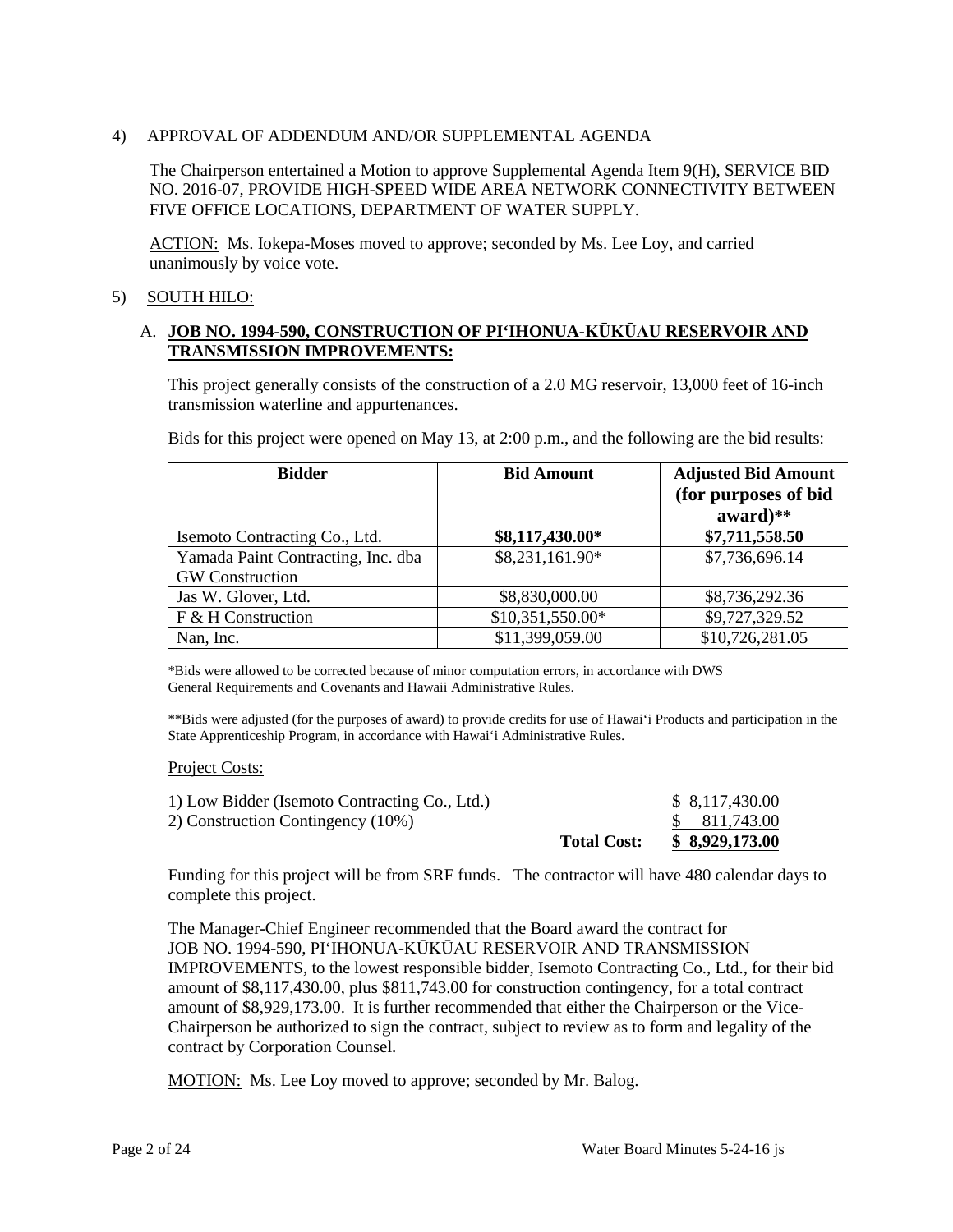### 4) APPROVAL OF ADDENDUM AND/OR SUPPLEMENTAL AGENDA

The Chairperson entertained a Motion to approve Supplemental Agenda Item 9(H), SERVICE BID NO. 2016-07, PROVIDE HIGH-SPEED WIDE AREA NETWORK CONNECTIVITY BETWEEN FIVE OFFICE LOCATIONS, DEPARTMENT OF WATER SUPPLY.

ACTION: Ms. Iokepa-Moses moved to approve; seconded by Ms. Lee Loy, and carried unanimously by voice vote.

### 5) SOUTH HILO:

### A. **JOB NO. 1994-590, CONSTRUCTION OF PI'IHONUA-KŪKŪAU RESERVOIR AND TRANSMISSION IMPROVEMENTS:**

This project generally consists of the construction of a 2.0 MG reservoir, 13,000 feet of 16-inch transmission waterline and appurtenances.

Bids for this project were opened on May 13, at 2:00 p.m., and the following are the bid results:

| <b>Bidder</b>                      | <b>Bid Amount</b> | <b>Adjusted Bid Amount</b> |
|------------------------------------|-------------------|----------------------------|
|                                    |                   | (for purposes of bid       |
|                                    |                   | $award)**$                 |
| Isemoto Contracting Co., Ltd.      | \$8,117,430.00*   | \$7,711,558.50             |
| Yamada Paint Contracting, Inc. dba | \$8,231,161.90*   | \$7,736,696.14             |
| <b>GW</b> Construction             |                   |                            |
| Jas W. Glover, Ltd.                | \$8,830,000.00    | \$8,736,292.36             |
| F & H Construction                 | \$10,351,550.00*  | \$9,727,329.52             |
| Nan, Inc.                          | \$11,399,059.00   | \$10,726,281.05            |

\*Bids were allowed to be corrected because of minor computation errors, in accordance with DWS General Requirements and Covenants and Hawaii Administrative Rules.

\*\*Bids were adjusted (for the purposes of award) to provide credits for use of Hawai'i Products and participation in the State Apprenticeship Program, in accordance with Hawai'i Administrative Rules.

#### Project Costs:

| 1) Low Bidder (Isemoto Contracting Co., Ltd.) |                    | \$8,117,430.00 |
|-----------------------------------------------|--------------------|----------------|
| 2) Construction Contingency (10%)             |                    | \$811,743.00   |
|                                               | <b>Total Cost:</b> | \$8,929,173.00 |

 Funding for this project will be from SRF funds. The contractor will have 480 calendar days to complete this project.

The Manager-Chief Engineer recommended that the Board award the contract for JOB NO. 1994-590, PI'IHONUA-KŪKŪAU RESERVOIR AND TRANSMISSION IMPROVEMENTS, to the lowest responsible bidder, Isemoto Contracting Co., Ltd., for their bid amount of \$8,117,430.00, plus \$811,743.00 for construction contingency, for a total contract amount of \$8,929,173.00. It is further recommended that either the Chairperson or the Vice-Chairperson be authorized to sign the contract, subject to review as to form and legality of the contract by Corporation Counsel.

MOTION: Ms. Lee Loy moved to approve; seconded by Mr. Balog.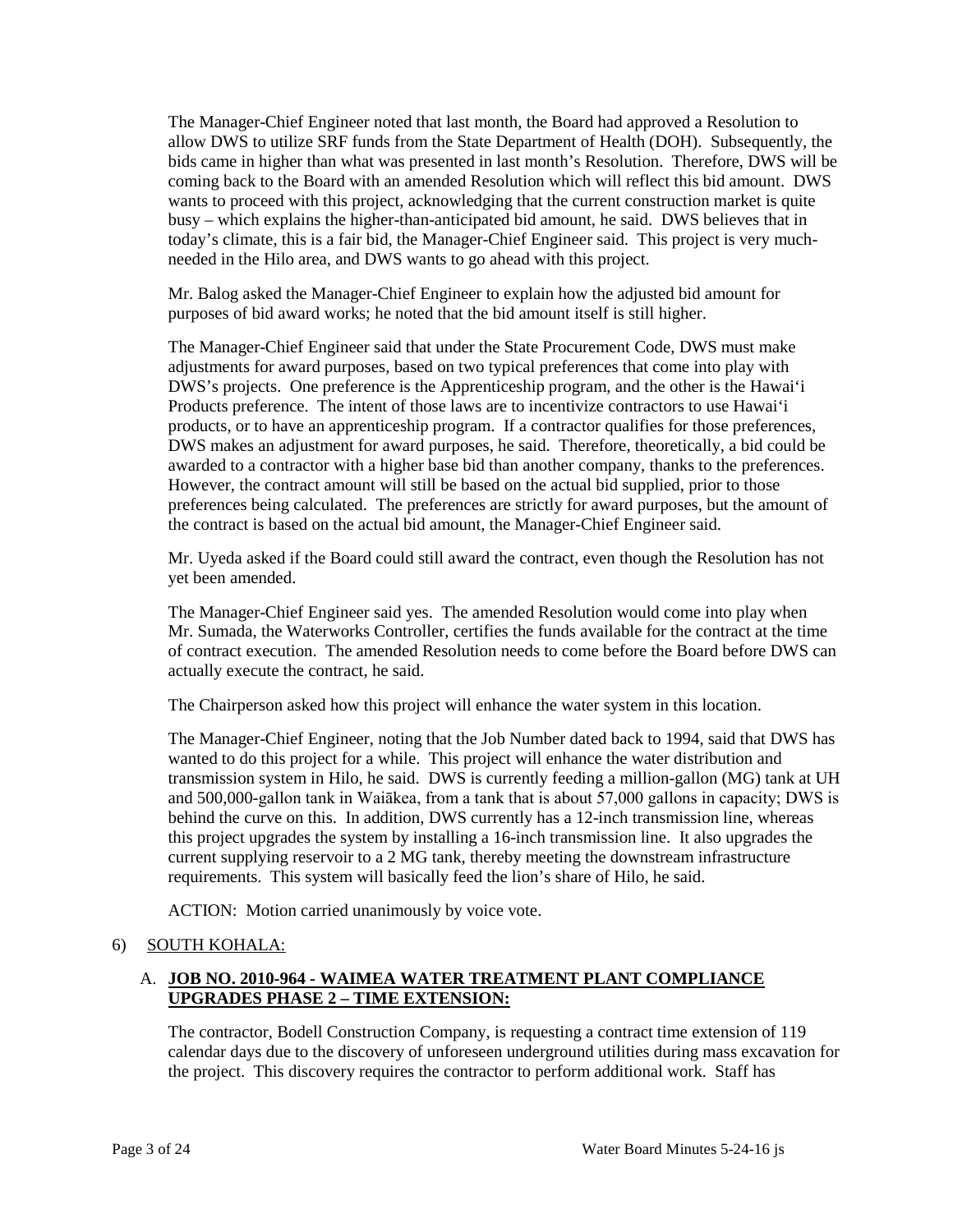today's climate, this is a fair bid, the Manager-Chief Engineer said. This project is very much-The Manager-Chief Engineer noted that last month, the Board had approved a Resolution to allow DWS to utilize SRF funds from the State Department of Health (DOH). Subsequently, the bids came in higher than what was presented in last month's Resolution. Therefore, DWS will be coming back to the Board with an amended Resolution which will reflect this bid amount. DWS wants to proceed with this project, acknowledging that the current construction market is quite busy – which explains the higher-than-anticipated bid amount, he said. DWS believes that in needed in the Hilo area, and DWS wants to go ahead with this project.

Mr. Balog asked the Manager-Chief Engineer to explain how the adjusted bid amount for purposes of bid award works; he noted that the bid amount itself is still higher.

 The Manager-Chief Engineer said that under the State Procurement Code, DWS must make Products preference. The intent of those laws are to incentivize contractors to use Hawai'i awarded to a contractor with a higher base bid than another company, thanks to the preferences. awarded to a contractor with a higher base bid than another company, thanks to the preferences. However, the contract amount will still be based on the actual bid supplied, prior to those adjustments for award purposes, based on two typical preferences that come into play with DWS's projects. One preference is the Apprenticeship program, and the other is the Hawai'i products, or to have an apprenticeship program. If a contractor qualifies for those preferences, DWS makes an adjustment for award purposes, he said. Therefore, theoretically, a bid could be preferences being calculated. The preferences are strictly for award purposes, but the amount of the contract is based on the actual bid amount, the Manager-Chief Engineer said.

Mr. Uyeda asked if the Board could still award the contract, even though the Resolution has not yet been amended.

The Manager-Chief Engineer said yes. The amended Resolution would come into play when Mr. Sumada, the Waterworks Controller, certifies the funds available for the contract at the time of contract execution. The amended Resolution needs to come before the Board before DWS can actually execute the contract, he said.

The Chairperson asked how this project will enhance the water system in this location.

 The Manager-Chief Engineer, noting that the Job Number dated back to 1994, said that DWS has and 500,000-gallon tank in Waiākea, from a tank that is about 57,000 gallons in capacity; DWS is behind the curve on this. In addition, DWS currently has a 12-inch transmission line, whereas wanted to do this project for a while. This project will enhance the water distribution and transmission system in Hilo, he said. DWS is currently feeding a million-gallon (MG) tank at UH this project upgrades the system by installing a 16-inch transmission line. It also upgrades the current supplying reservoir to a 2 MG tank, thereby meeting the downstream infrastructure requirements. This system will basically feed the lion's share of Hilo, he said.

ACTION: Motion carried unanimously by voice vote.

### 6) SOUTH KOHALA:

### A. **JOB NO. 2010-964 - WAIMEA WATER TREATMENT PLANT COMPLIANCE UPGRADES PHASE 2 – TIME EXTENSION:**

The contractor, Bodell Construction Company, is requesting a contract time extension of 119 calendar days due to the discovery of unforeseen underground utilities during mass excavation for the project. This discovery requires the contractor to perform additional work. Staff has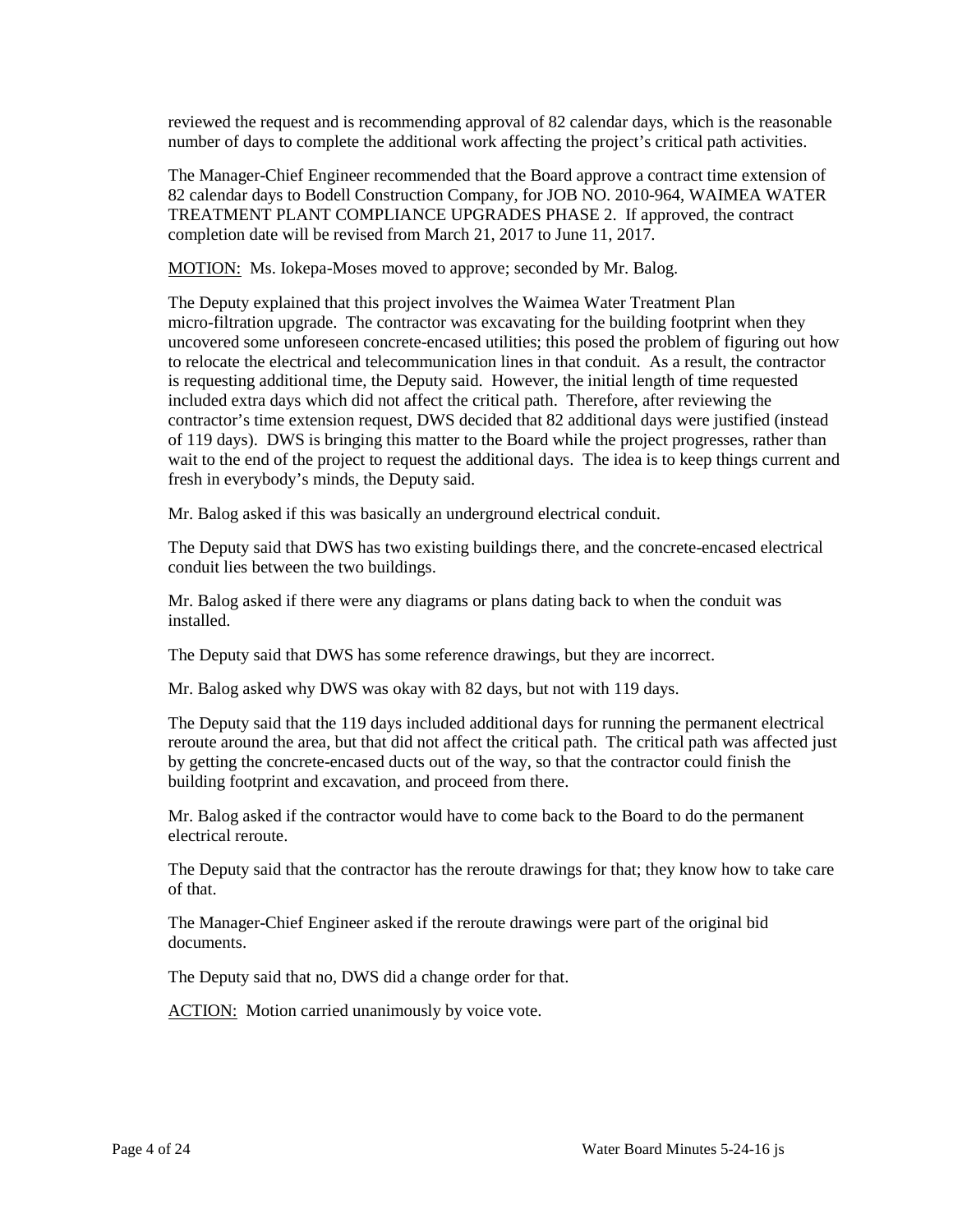reviewed the request and is recommending approval of 82 calendar days, which is the reasonable number of days to complete the additional work affecting the project's critical path activities.

 The Manager-Chief Engineer recommended that the Board approve a contract time extension of 82 calendar days to Bodell Construction Company, for JOB NO. 2010-964, WAIMEA WATER TREATMENT PLANT COMPLIANCE UPGRADES PHASE 2. If approved, the contract completion date will be revised from March 21, 2017 to June 11, 2017.

MOTION: Ms. Iokepa-Moses moved to approve; seconded by Mr. Balog.

 to relocate the electrical and telecommunication lines in that conduit. As a result, the contractor included extra days which did not affect the critical path. Therefore, after reviewing the of 119 days). DWS is bringing this matter to the Board while the project progresses, rather than wait to the end of the project to request the additional days. The idea is to keep things current and The Deputy explained that this project involves the Waimea Water Treatment Plan micro-filtration upgrade. The contractor was excavating for the building footprint when they uncovered some unforeseen concrete-encased utilities; this posed the problem of figuring out how is requesting additional time, the Deputy said. However, the initial length of time requested contractor's time extension request, DWS decided that 82 additional days were justified (instead fresh in everybody's minds, the Deputy said.

Mr. Balog asked if this was basically an underground electrical conduit.

 The Deputy said that DWS has two existing buildings there, and the concrete-encased electrical conduit lies between the two buildings.

Mr. Balog asked if there were any diagrams or plans dating back to when the conduit was installed.

The Deputy said that DWS has some reference drawings, but they are incorrect.

Mr. Balog asked why DWS was okay with 82 days, but not with 119 days.

 The Deputy said that the 119 days included additional days for running the permanent electrical reroute around the area, but that did not affect the critical path. The critical path was affected just by getting the concrete-encased ducts out of the way, so that the contractor could finish the building footprint and excavation, and proceed from there.

 Mr. Balog asked if the contractor would have to come back to the Board to do the permanent electrical reroute.

 The Deputy said that the contractor has the reroute drawings for that; they know how to take care of that.

 The Manager-Chief Engineer asked if the reroute drawings were part of the original bid documents.

The Deputy said that no, DWS did a change order for that.

ACTION: Motion carried unanimously by voice vote.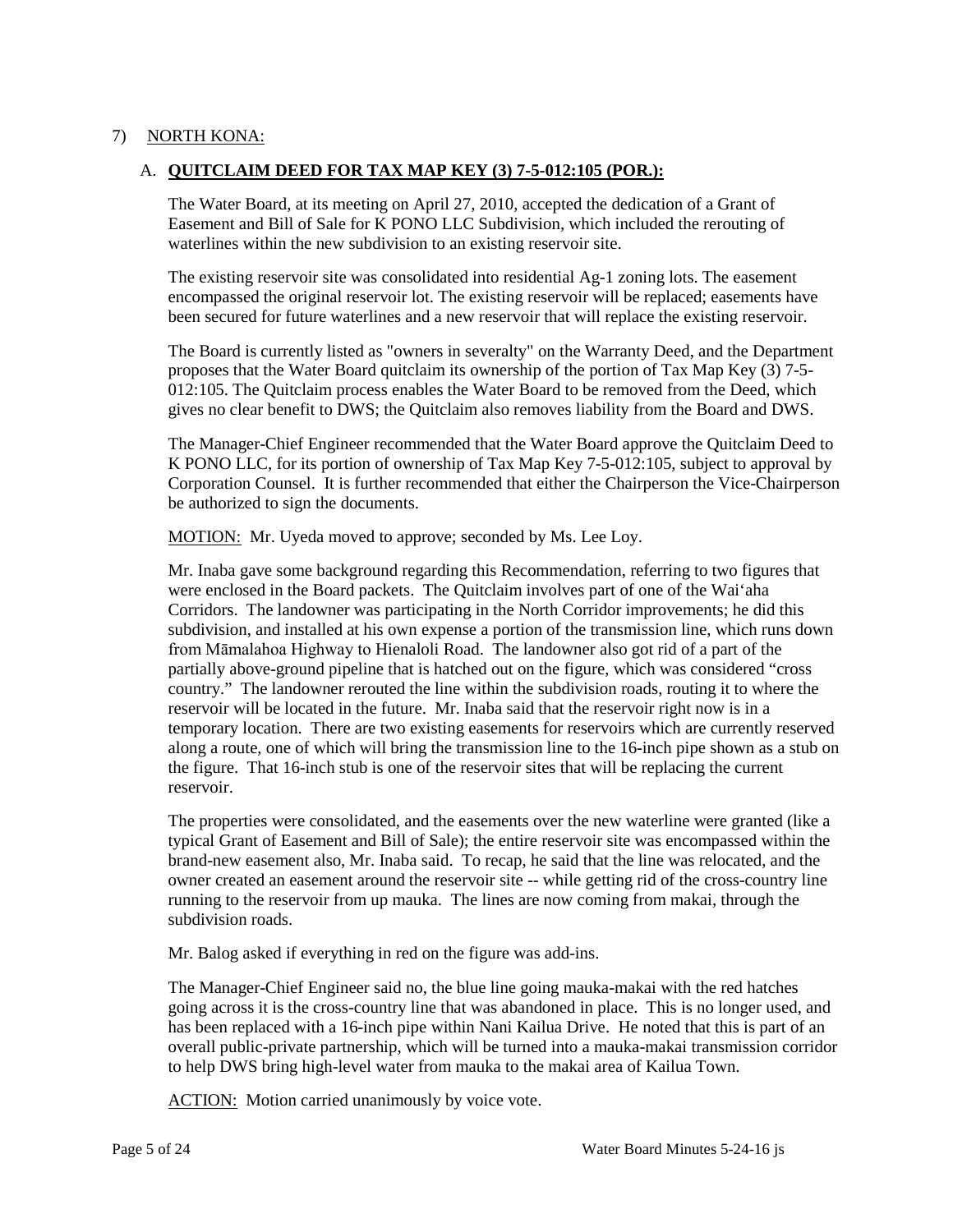## 7) NORTH KONA:

### A. **QUITCLAIM DEED FOR TAX MAP KEY (3) 7-5-012:105 (POR.):**

 The Water Board, at its meeting on April 27, 2010, accepted the dedication of a Grant of Easement and Bill of Sale for K PONO LLC Subdivision, which included the rerouting of waterlines within the new subdivision to an existing reservoir site.

 encompassed the original reservoir lot. The existing reservoir will be replaced; easements have been secured for future waterlines and a new reservoir that will replace the existing reservoir. The existing reservoir site was consolidated into residential Ag-1 zoning lots. The easement

 been secured for future waterlines and a new reservoir that will replace the existing reservoir. The Board is currently listed as "owners in severalty" on the Warranty Deed, and the Department proposes that the Water Board quitclaim its ownership of the portion of Tax Map Key (3) 7-5 012:105. The Quitclaim process enables the Water Board to be removed from the Deed, which gives no clear benefit to DWS; the Quitclaim also removes liability from the Board and DWS.

 The Manager-Chief Engineer recommended that the Water Board approve the Quitclaim Deed to K PONO LLC, for its portion of ownership of Tax Map Key 7-5-012:105, subject to approval by Corporation Counsel. It is further recommended that either the Chairperson the Vice-Chairperson be authorized to sign the documents.

MOTION: Mr. Uyeda moved to approve; seconded by Ms. Lee Loy.

 were enclosed in the Board packets. The Quitclaim involves part of one of the Wai'aha Corridors. The landowner was participating in the North Corridor improvements; he did this from Māmalahoa Highway to Hienaloli Road. The landowner also got rid of a part of the country." The landowner rerouted the line within the subdivision roads, routing it to where the reservoir will be located in the future. Mr. Inaba said that the reservoir right now is in a temporary location. There are two existing easements for reservoirs which are currently reserved the figure. That 16-inch stub is one of the reservoir sites that will be replacing the current Mr. Inaba gave some background regarding this Recommendation, referring to two figures that subdivision, and installed at his own expense a portion of the transmission line, which runs down partially above-ground pipeline that is hatched out on the figure, which was considered "cross along a route, one of which will bring the transmission line to the 16-inch pipe shown as a stub on reservoir.

 owner created an easement around the reservoir site -- while getting rid of the cross-country line The properties were consolidated, and the easements over the new waterline were granted (like a typical Grant of Easement and Bill of Sale); the entire reservoir site was encompassed within the brand-new easement also, Mr. Inaba said. To recap, he said that the line was relocated, and the running to the reservoir from up mauka. The lines are now coming from makai, through the subdivision roads.

Mr. Balog asked if everything in red on the figure was add-ins.

 The Manager-Chief Engineer said no, the blue line going mauka-makai with the red hatches going across it is the cross-country line that was abandoned in place. This is no longer used, and has been replaced with a 16-inch pipe within Nani Kailua Drive. He noted that this is part of an overall public-private partnership, which will be turned into a mauka-makai transmission corridor to help DWS bring high-level water from mauka to the makai area of Kailua Town.

ACTION: Motion carried unanimously by voice vote.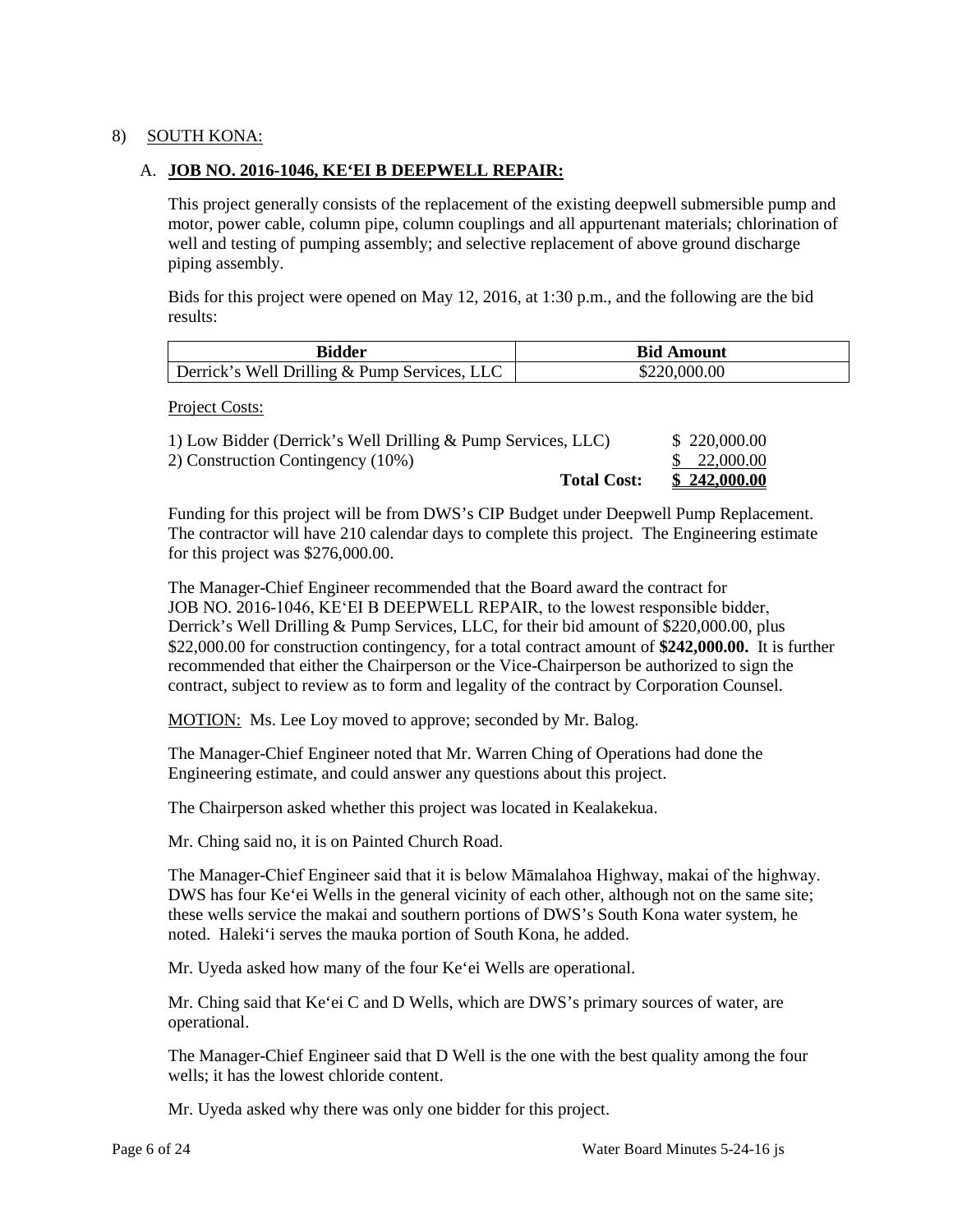## 8) SOUTH KONA:

### A. **JOB NO. 2016-1046, KE'EI B DEEPWELL REPAIR:**

This project generally consists of the replacement of the existing deepwell submersible pump and motor, power cable, column pipe, column couplings and all appurtenant materials; chlorination of well and testing of pumping assembly; and selective replacement of above ground discharge piping assembly.

Bids for this project were opened on May 12, 2016, at 1:30 p.m., and the following are the bid results:

| Bidder                                       | <b>Bid Amount</b> |  |
|----------------------------------------------|-------------------|--|
| Derrick's Well Drilling & Pump Services, LLC | \$220,000.00      |  |

Project Costs:

| 1) Low Bidder (Derrick's Well Drilling & Pump Services, LLC) | \$220,000.00 |
|--------------------------------------------------------------|--------------|
| 2) Construction Contingency (10%)                            | \$22,000.00  |
| <b>Total Cost:</b>                                           | \$242,000.00 |

 The contractor will have 210 calendar days to complete this project. The Engineering estimate Funding for this project will be from DWS's CIP Budget under Deepwell Pump Replacement. for this project was \$276,000.00.

 \$22,000.00 for construction contingency, for a total contract amount of **\$242,000.00.** It is further recommended that either the Chairperson or the Vice-Chairperson be authorized to sign the contract, subject to review as to form and legality of the contract by Corporation Counsel. The Manager-Chief Engineer recommended that the Board award the contract for JOB NO. 2016-1046, KEʻEI B DEEPWELL REPAIR, to the lowest responsible bidder, Derrick's Well Drilling & Pump Services, LLC, for their bid amount of \$220,000.00, plus

MOTION: Ms. Lee Loy moved to approve; seconded by Mr. Balog.

 Engineering estimate, and could answer any questions about this project. The Manager-Chief Engineer noted that Mr. Warren Ching of Operations had done the

The Chairperson asked whether this project was located in Kealakekua.

Mr. Ching said no, it is on Painted Church Road.

 these wells service the makai and southern portions of DWS's South Kona water system, he noted. Haleki'i serves the mauka portion of South Kona, he added. The Manager-Chief Engineer said that it is below Māmalahoa Highway, makai of the highway. DWS has four Ke'ei Wells in the general vicinity of each other, although not on the same site;

Mr. Uyeda asked how many of the four Ke'ei Wells are operational.

 Mr. Ching said that Ke'ei C and D Wells, which are DWS's primary sources of water, are operational.

 wells; it has the lowest chloride content. The Manager-Chief Engineer said that D Well is the one with the best quality among the four

Mr. Uyeda asked why there was only one bidder for this project.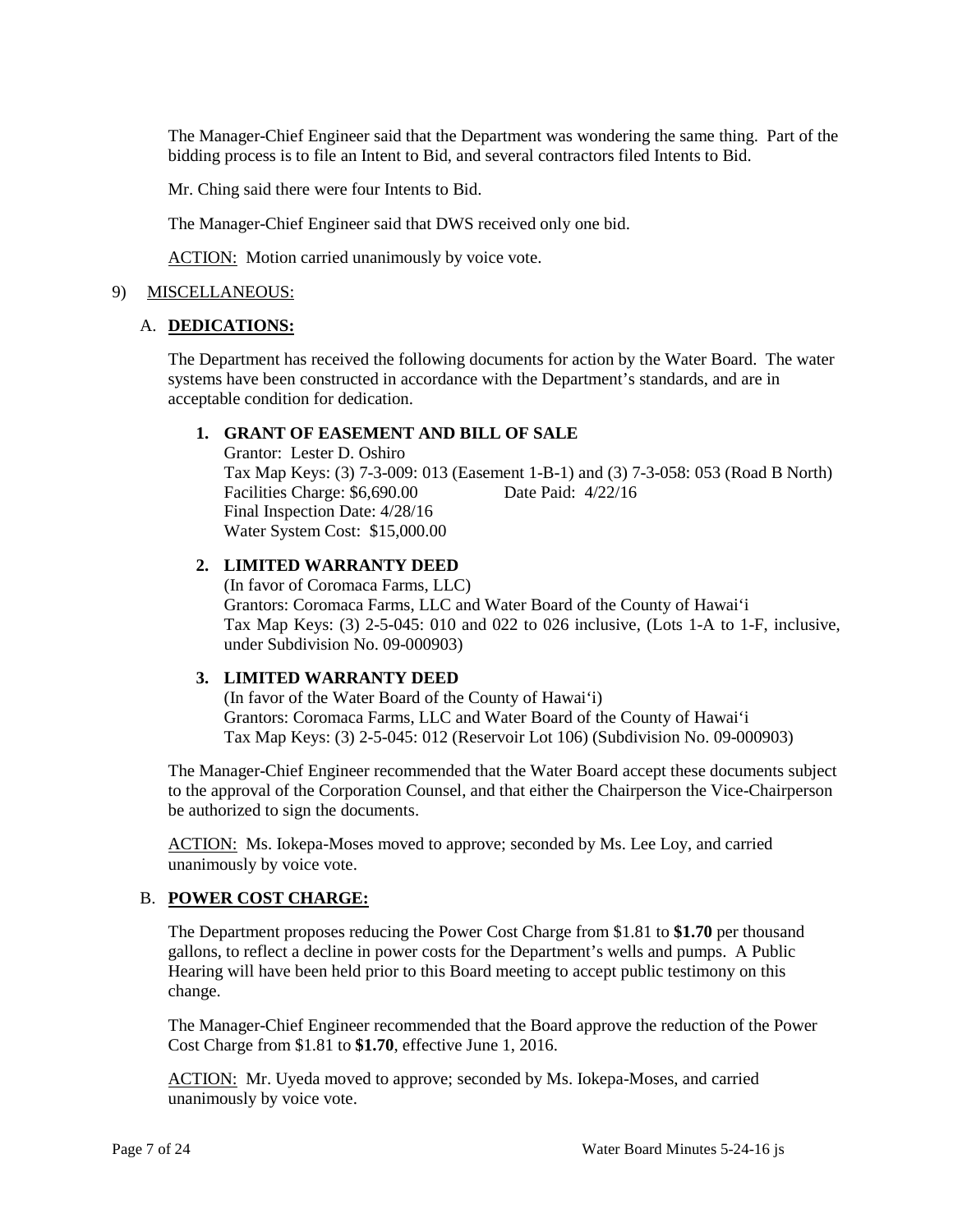bidding process is to file an Intent to Bid, and several contractors filed Intents to Bid. The Manager-Chief Engineer said that the Department was wondering the same thing. Part of the

Mr. Ching said there were four Intents to Bid.

The Manager-Chief Engineer said that DWS received only one bid.

ACTION: Motion carried unanimously by voice vote.

### 9) MISCELLANEOUS:

### A. **DEDICATIONS:**

 The Department has received the following documents for action by the Water Board. The water systems have been constructed in accordance with the Department's standards, and are in acceptable condition for dedication.

### **1. GRANT OF EASEMENT AND BILL OF SALE**

 Tax Map Keys: (3) 7-3-009: 013 (Easement 1-B-1) and (3) 7-3-058: 053 (Road B North) Final Inspection Date: 4/28/16 Grantor: Lester D. Oshiro Facilities Charge: \$6,690.00 Date Paid: 4/22/16 Water System Cost: \$15,000.00

# **2. LIMITED WARRANTY DEED**

(In favor of Coromaca Farms, LLC) Grantors: Coromaca Farms, LLC and Water Board of the County of Hawai'i Tax Map Keys: (3) 2-5-045: 010 and 022 to 026 inclusive, (Lots 1-A to 1-F, inclusive, under Subdivision No. 09-000903)

#### **3. LIMITED WARRANTY DEED**

(In favor of the Water Board of the County of Hawai'i) Grantors: Coromaca Farms, LLC and Water Board of the County of Hawai'i Tax Map Keys: (3) 2-5-045: 012 (Reservoir Lot 106) (Subdivision No. 09-000903)

The Manager-Chief Engineer recommended that the Water Board accept these documents subject to the approval of the Corporation Counsel, and that either the Chairperson the Vice-Chairperson be authorized to sign the documents.

ACTION: Ms. Iokepa-Moses moved to approve; seconded by Ms. Lee Loy, and carried unanimously by voice vote.

### B. **POWER COST CHARGE:**

The Department proposes reducing the Power Cost Charge from \$1.81 to **\$1.70** per thousand gallons, to reflect a decline in power costs for the Department's wells and pumps. A Public Hearing will have been held prior to this Board meeting to accept public testimony on this change.

 The Manager-Chief Engineer recommended that the Board approve the reduction of the Power Cost Charge from \$1.81 to **\$1.70**, effective June 1, 2016.

 unanimously by voice vote. ACTION: Mr. Uyeda moved to approve; seconded by Ms. Iokepa-Moses, and carried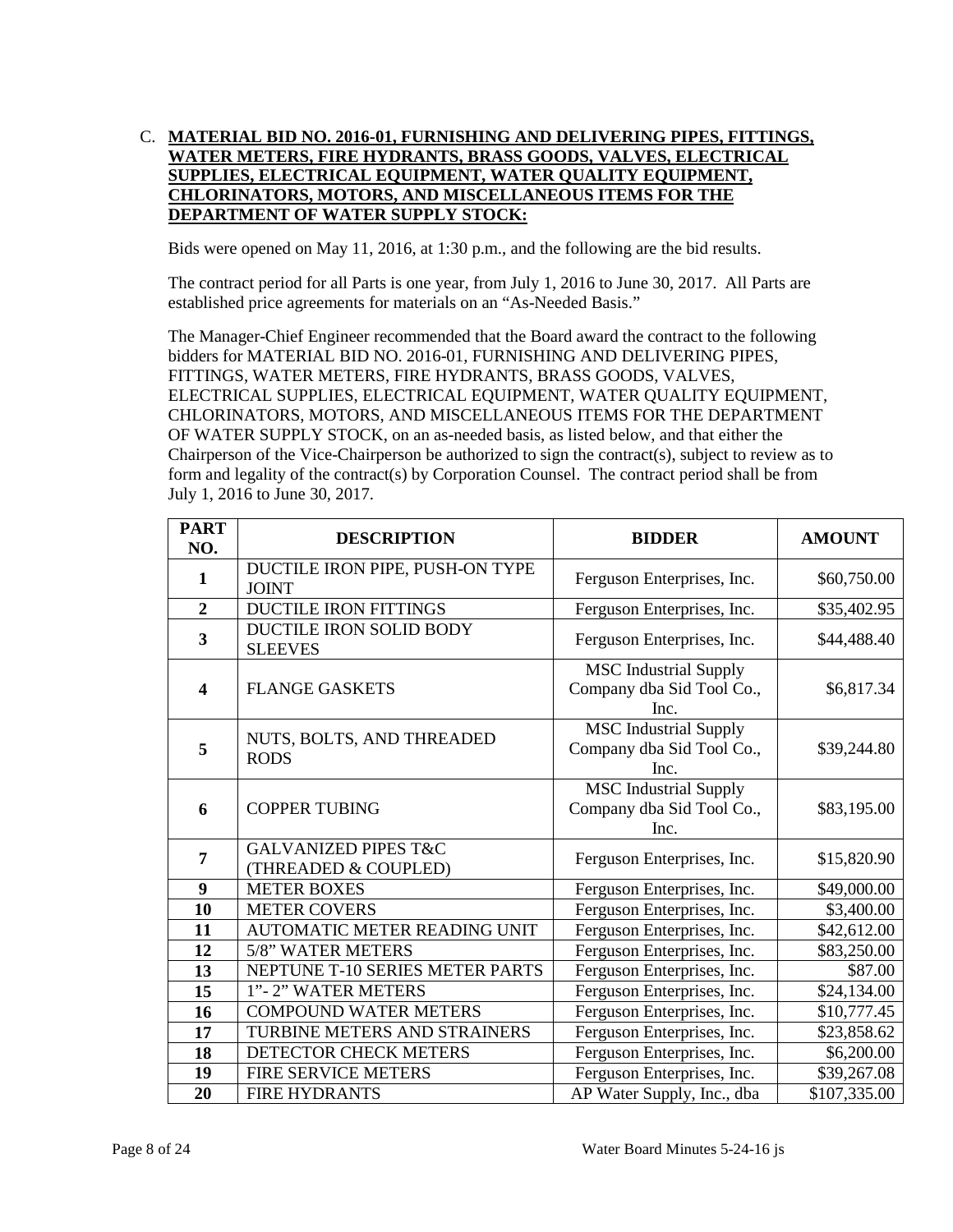## **CHLORINATORS, MOTORS, AND MISCELLANEOUS ITEMS FOR THE**  C. **MATERIAL BID NO. 2016-01, FURNISHING AND DELIVERING PIPES, FITTINGS, WATER METERS, FIRE HYDRANTS, BRASS GOODS, VALVES, ELECTRICAL SUPPLIES, ELECTRICAL EQUIPMENT, WATER QUALITY EQUIPMENT, DEPARTMENT OF WATER SUPPLY STOCK:**

Bids were opened on May 11, 2016, at 1:30 p.m., and the following are the bid results.

The contract period for all Parts is one year, from July 1, 2016 to June 30, 2017. All Parts are established price agreements for materials on an "As-Needed Basis."

 The Manager-Chief Engineer recommended that the Board award the contract to the following bidders for MATERIAL BID NO. 2016-01, FURNISHING AND DELIVERING PIPES, OF WATER SUPPLY STOCK, on an as-needed basis, as listed below, and that either the form and legality of the contract(s) by Corporation Counsel. The contract period shall be from FITTINGS, WATER METERS, FIRE HYDRANTS, BRASS GOODS, VALVES, ELECTRICAL SUPPLIES, ELECTRICAL EQUIPMENT, WATER QUALITY EQUIPMENT, CHLORINATORS, MOTORS, AND MISCELLANEOUS ITEMS FOR THE DEPARTMENT Chairperson of the Vice-Chairperson be authorized to sign the contract(s), subject to review as to July 1, 2016 to June 30, 2017.

| <b>PART</b><br>NO.      | <b>DESCRIPTION</b>                                      | <b>BIDDER</b>                                                     | <b>AMOUNT</b> |
|-------------------------|---------------------------------------------------------|-------------------------------------------------------------------|---------------|
| 1                       | DUCTILE IRON PIPE, PUSH-ON TYPE<br><b>JOINT</b>         | Ferguson Enterprises, Inc.                                        | \$60,750.00   |
| $\overline{2}$          | <b>DUCTILE IRON FITTINGS</b>                            | Ferguson Enterprises, Inc.                                        | \$35,402.95   |
| 3                       | <b>DUCTILE IRON SOLID BODY</b><br><b>SLEEVES</b>        | Ferguson Enterprises, Inc.                                        | \$44,488.40   |
| $\overline{\mathbf{4}}$ | <b>FLANGE GASKETS</b>                                   | <b>MSC</b> Industrial Supply<br>Company dba Sid Tool Co.,<br>Inc. | \$6,817.34    |
| 5                       | NUTS, BOLTS, AND THREADED<br><b>RODS</b>                | <b>MSC</b> Industrial Supply<br>Company dba Sid Tool Co.,<br>Inc. | \$39,244.80   |
| 6                       | <b>COPPER TUBING</b>                                    | <b>MSC</b> Industrial Supply<br>Company dba Sid Tool Co.,<br>Inc. | \$83,195.00   |
| 7                       | <b>GALVANIZED PIPES T&amp;C</b><br>(THREADED & COUPLED) | Ferguson Enterprises, Inc.                                        | \$15,820.90   |
| 9                       | <b>METER BOXES</b>                                      | Ferguson Enterprises, Inc.                                        | \$49,000.00   |
| 10                      | <b>METER COVERS</b>                                     | Ferguson Enterprises, Inc.                                        | \$3,400.00    |
| 11                      | <b>AUTOMATIC METER READING UNIT</b>                     | Ferguson Enterprises, Inc.                                        | \$42,612.00   |
| 12                      | 5/8" WATER METERS                                       | Ferguson Enterprises, Inc.                                        | \$83,250.00   |
| 13                      | NEPTUNE T-10 SERIES METER PARTS                         | Ferguson Enterprises, Inc.                                        | \$87.00       |
| 15                      | 1"-2" WATER METERS                                      | Ferguson Enterprises, Inc.                                        | \$24,134.00   |
| 16                      | <b>COMPOUND WATER METERS</b>                            | Ferguson Enterprises, Inc.                                        | \$10,777.45   |
| 17                      | TURBINE METERS AND STRAINERS                            | Ferguson Enterprises, Inc.                                        | \$23,858.62   |
| 18                      | DETECTOR CHECK METERS                                   | Ferguson Enterprises, Inc.                                        | \$6,200.00    |
| 19                      | <b>FIRE SERVICE METERS</b>                              | Ferguson Enterprises, Inc.                                        | \$39,267.08   |
| 20                      | <b>FIRE HYDRANTS</b>                                    | AP Water Supply, Inc., dba                                        | \$107,335.00  |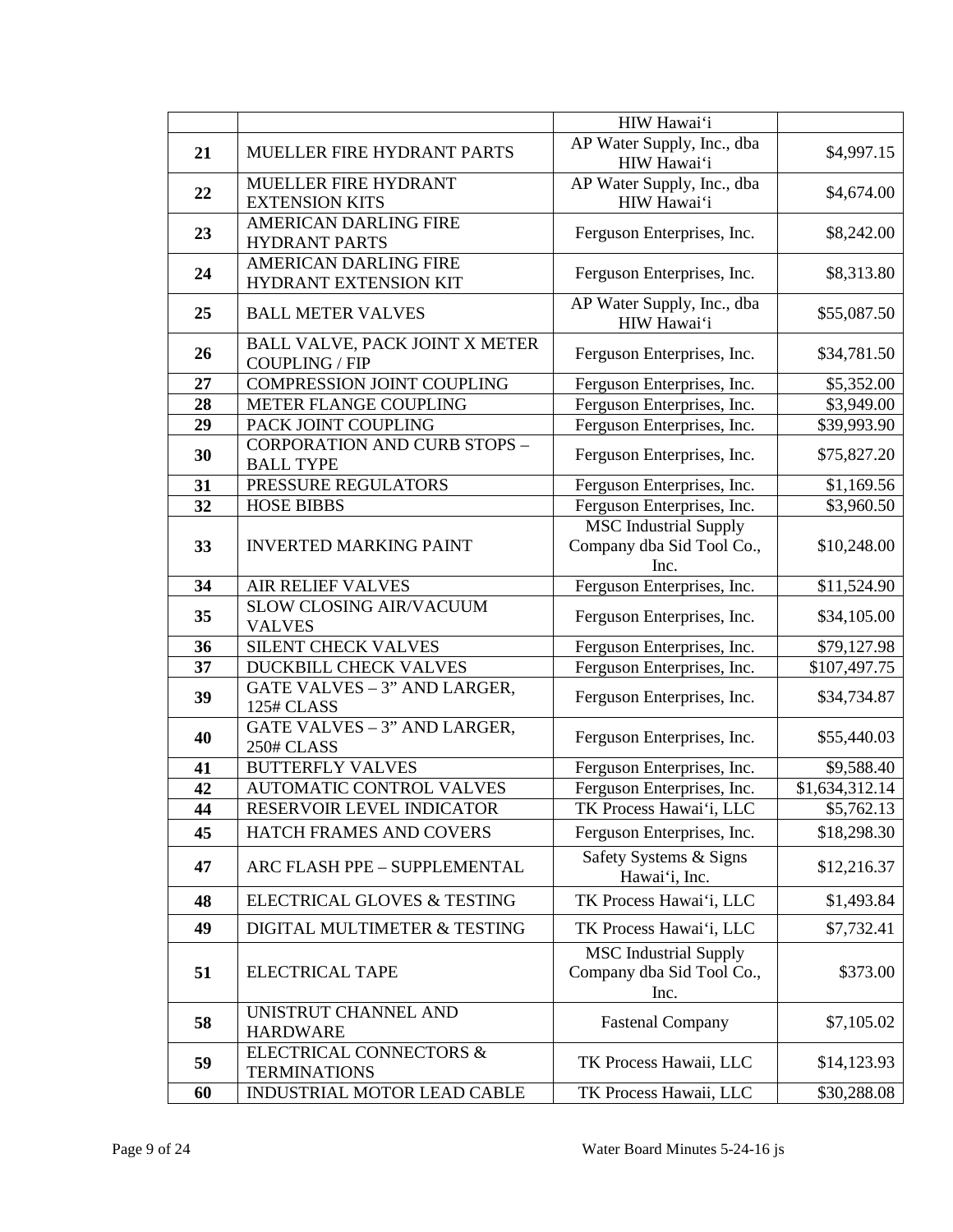|    |                                                           | HIW Hawai'i                                                       |                |
|----|-----------------------------------------------------------|-------------------------------------------------------------------|----------------|
| 21 | MUELLER FIRE HYDRANT PARTS                                | AP Water Supply, Inc., dba<br>HIW Hawai'i                         | \$4,997.15     |
| 22 | MUELLER FIRE HYDRANT<br><b>EXTENSION KITS</b>             | AP Water Supply, Inc., dba<br>HIW Hawai'i                         | \$4,674.00     |
| 23 | <b>AMERICAN DARLING FIRE</b><br><b>HYDRANT PARTS</b>      | Ferguson Enterprises, Inc.                                        | \$8,242.00     |
| 24 | <b>AMERICAN DARLING FIRE</b><br>HYDRANT EXTENSION KIT     | Ferguson Enterprises, Inc.                                        | \$8,313.80     |
| 25 | <b>BALL METER VALVES</b>                                  | AP Water Supply, Inc., dba<br>HIW Hawai'i                         | \$55,087.50    |
| 26 | BALL VALVE, PACK JOINT X METER<br><b>COUPLING / FIP</b>   | Ferguson Enterprises, Inc.                                        | \$34,781.50    |
| 27 | <b>COMPRESSION JOINT COUPLING</b>                         | Ferguson Enterprises, Inc.                                        | \$5,352.00     |
| 28 | METER FLANGE COUPLING                                     | Ferguson Enterprises, Inc.                                        | \$3,949.00     |
| 29 | PACK JOINT COUPLING                                       | Ferguson Enterprises, Inc.                                        | \$39,993.90    |
| 30 | <b>CORPORATION AND CURB STOPS -</b><br><b>BALL TYPE</b>   | Ferguson Enterprises, Inc.                                        | \$75,827.20    |
| 31 | PRESSURE REGULATORS                                       | Ferguson Enterprises, Inc.                                        | \$1,169.56     |
| 32 | <b>HOSE BIBBS</b>                                         | Ferguson Enterprises, Inc.                                        | \$3,960.50     |
| 33 | <b>INVERTED MARKING PAINT</b>                             | <b>MSC</b> Industrial Supply<br>Company dba Sid Tool Co.,<br>Inc. | \$10,248.00    |
| 34 | AIR RELIEF VALVES                                         | Ferguson Enterprises, Inc.                                        | \$11,524.90    |
|    | SLOW CLOSING AIR/VACUUM                                   |                                                                   |                |
| 35 | <b>VALVES</b>                                             | Ferguson Enterprises, Inc.                                        | \$34,105.00    |
| 36 | SILENT CHECK VALVES                                       | Ferguson Enterprises, Inc.                                        | \$79,127.98    |
| 37 | DUCKBILL CHECK VALVES                                     | Ferguson Enterprises, Inc.                                        | \$107,497.75   |
| 39 | GATE VALVES - 3" AND LARGER,<br>125# CLASS                | Ferguson Enterprises, Inc.                                        | \$34,734.87    |
| 40 | GATE VALVES - 3" AND LARGER,<br>250# CLASS                | Ferguson Enterprises, Inc.                                        | \$55,440.03    |
| 41 | <b>BUTTERFLY VALVES</b>                                   | Ferguson Enterprises, Inc.                                        | \$9,588.40     |
| 42 | AUTOMATIC CONTROL VALVES                                  | Ferguson Enterprises, Inc.                                        | \$1,634,312.14 |
| 44 | RESERVOIR LEVEL INDICATOR                                 | TK Process Hawai'i, LLC                                           | \$5,762.13     |
| 45 | HATCH FRAMES AND COVERS                                   | Ferguson Enterprises, Inc.                                        | \$18,298.30    |
| 47 | ARC FLASH PPE - SUPPLEMENTAL                              | Safety Systems & Signs<br>Hawai'i, Inc.                           | \$12,216.37    |
| 48 | <b>ELECTRICAL GLOVES &amp; TESTING</b>                    | TK Process Hawai'i, LLC                                           | \$1,493.84     |
| 49 | DIGITAL MULTIMETER & TESTING                              | TK Process Hawai'i, LLC                                           | \$7,732.41     |
| 51 | <b>ELECTRICAL TAPE</b>                                    | <b>MSC</b> Industrial Supply<br>Company dba Sid Tool Co.,<br>Inc. | \$373.00       |
|    | UNISTRUT CHANNEL AND                                      |                                                                   |                |
| 58 | <b>HARDWARE</b>                                           | <b>Fastenal Company</b>                                           | \$7,105.02     |
| 59 | <b>ELECTRICAL CONNECTORS &amp;</b><br><b>TERMINATIONS</b> | TK Process Hawaii, LLC                                            | \$14,123.93    |
| 60 | INDUSTRIAL MOTOR LEAD CABLE                               | TK Process Hawaii, LLC                                            | \$30,288.08    |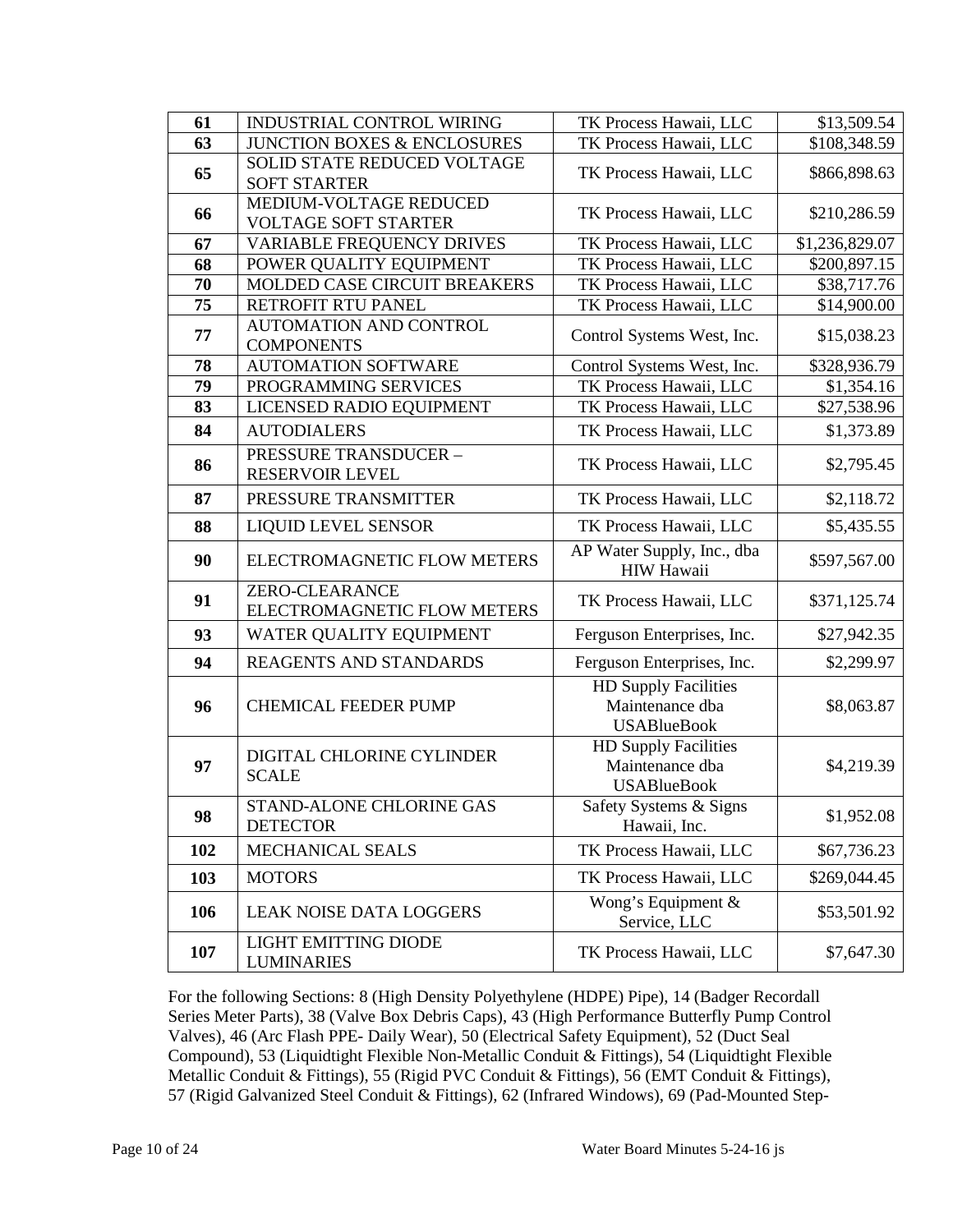| 61  | <b>INDUSTRIAL CONTROL WIRING</b>                     | TK Process Hawaii, LLC                                               | \$13,509.54              |
|-----|------------------------------------------------------|----------------------------------------------------------------------|--------------------------|
| 63  | <b>JUNCTION BOXES &amp; ENCLOSURES</b>               | TK Process Hawaii, LLC                                               | $\overline{$}108,348.59$ |
| 65  | SOLID STATE REDUCED VOLTAGE                          | TK Process Hawaii, LLC                                               | \$866,898.63             |
|     | <b>SOFT STARTER</b><br>MEDIUM-VOLTAGE REDUCED        |                                                                      |                          |
| 66  | <b>VOLTAGE SOFT STARTER</b>                          | TK Process Hawaii, LLC                                               | \$210,286.59             |
| 67  | <b>VARIABLE FREQUENCY DRIVES</b>                     | TK Process Hawaii, LLC                                               | \$1,236,829.07           |
| 68  | POWER QUALITY EQUIPMENT                              | TK Process Hawaii, LLC                                               | \$200,897.15             |
| 70  | MOLDED CASE CIRCUIT BREAKERS                         | TK Process Hawaii, LLC                                               | \$38,717.76              |
| 75  | RETROFIT RTU PANEL                                   | TK Process Hawaii, LLC                                               | \$14,900.00              |
| 77  | AUTOMATION AND CONTROL<br><b>COMPONENTS</b>          | Control Systems West, Inc.                                           | \$15,038.23              |
| 78  | <b>AUTOMATION SOFTWARE</b>                           | Control Systems West, Inc.                                           | \$328,936.79             |
| 79  | PROGRAMMING SERVICES                                 | TK Process Hawaii, LLC                                               | \$1,354.16               |
| 83  | LICENSED RADIO EQUIPMENT                             | TK Process Hawaii, LLC                                               | \$27,538.96              |
| 84  | <b>AUTODIALERS</b>                                   | TK Process Hawaii, LLC                                               | \$1,373.89               |
| 86  | <b>PRESSURE TRANSDUCER -</b><br>RESERVOIR LEVEL      | TK Process Hawaii, LLC                                               | \$2,795.45               |
| 87  | PRESSURE TRANSMITTER                                 | TK Process Hawaii, LLC                                               | \$2,118.72               |
| 88  | <b>LIQUID LEVEL SENSOR</b>                           | TK Process Hawaii, LLC                                               | \$5,435.55               |
| 90  | ELECTROMAGNETIC FLOW METERS                          | AP Water Supply, Inc., dba<br><b>HIW Hawaii</b>                      | \$597,567.00             |
| 91  | <b>ZERO-CLEARANCE</b><br>ELECTROMAGNETIC FLOW METERS | TK Process Hawaii, LLC                                               | \$371,125.74             |
| 93  | WATER QUALITY EQUIPMENT                              | Ferguson Enterprises, Inc.                                           | \$27,942.35              |
| 94  | REAGENTS AND STANDARDS                               | Ferguson Enterprises, Inc.                                           | \$2,299.97               |
| 96  | <b>CHEMICAL FEEDER PUMP</b>                          | <b>HD Supply Facilities</b><br>Maintenance dba<br><b>USABlueBook</b> | \$8,063.87               |
| 97  | DIGITAL CHLORINE CYLINDER<br><b>SCALE</b>            | <b>HD Supply Facilities</b><br>Maintenance dba<br><b>USABlueBook</b> | \$4,219.39               |
| 98  | STAND-ALONE CHLORINE GAS<br><b>DETECTOR</b>          | Safety Systems & Signs<br>Hawaii, Inc.                               | \$1,952.08               |
| 102 | MECHANICAL SEALS                                     | TK Process Hawaii, LLC                                               | \$67,736.23              |
| 103 | <b>MOTORS</b>                                        | TK Process Hawaii, LLC                                               | \$269,044.45             |
| 106 | <b>LEAK NOISE DATA LOGGERS</b>                       | Wong's Equipment &<br>Service, LLC                                   | \$53,501.92              |
| 107 | <b>LIGHT EMITTING DIODE</b>                          | TK Process Hawaii, LLC                                               | \$7,647.30               |

For the following Sections: 8 (High Density Polyethylene (HDPE) Pipe), 14 (Badger Recordall Series Meter Parts), 38 (Valve Box Debris Caps), 43 (High Performance Butterfly Pump Control Valves), 46 (Arc Flash PPE- Daily Wear), 50 (Electrical Safety Equipment), 52 (Duct Seal Compound), 53 (Liquidtight Flexible Non-Metallic Conduit & Fittings), 54 (Liquidtight Flexible Metallic Conduit & Fittings), 55 (Rigid PVC Conduit & Fittings), 56 (EMT Conduit & Fittings), 57 (Rigid Galvanized Steel Conduit & Fittings), 62 (Infrared Windows), 69 (Pad-Mounted Step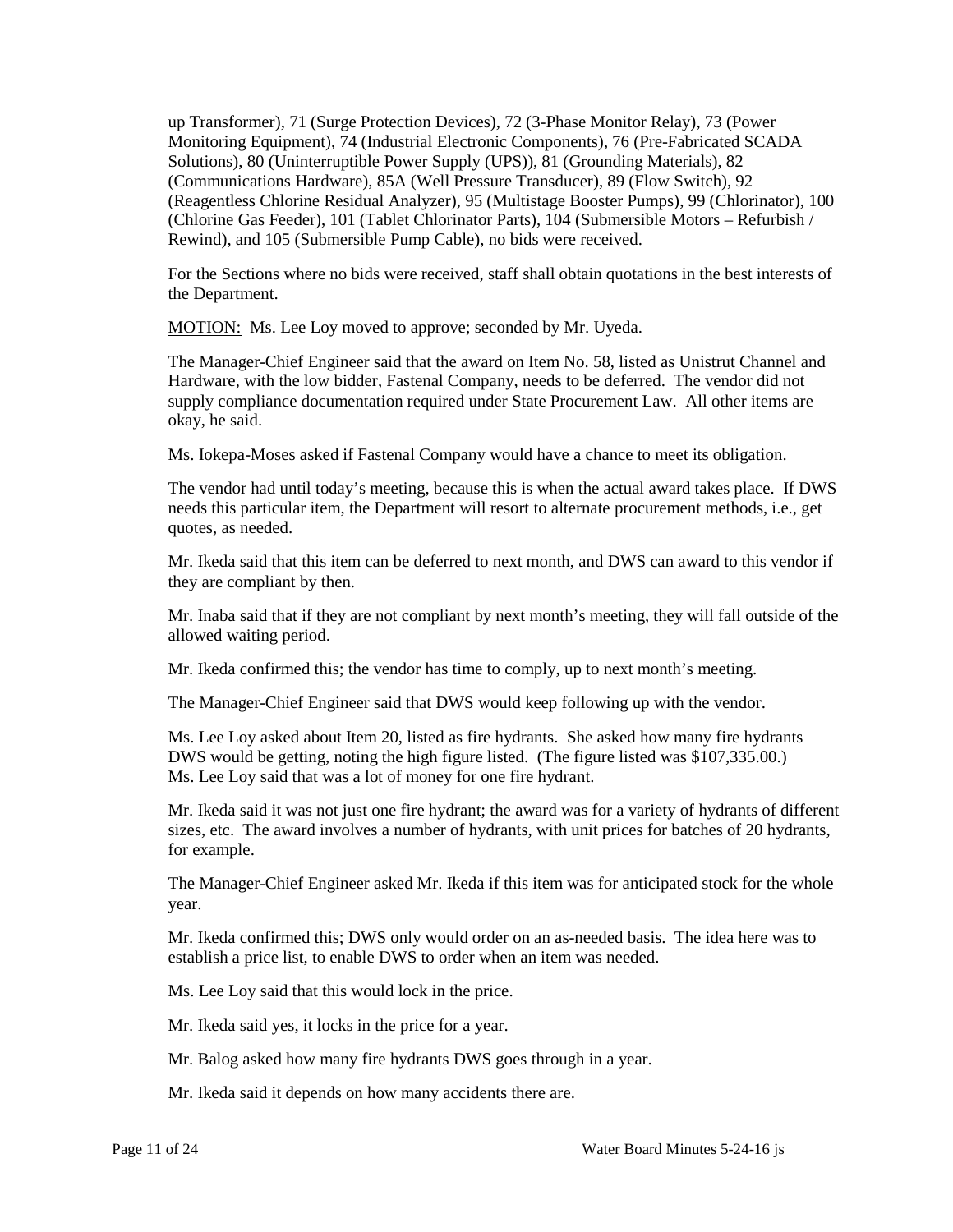up Transformer), 71 (Surge Protection Devices), 72 (3-Phase Monitor Relay), 73 (Power Monitoring Equipment), 74 (Industrial Electronic Components), 76 (Pre-Fabricated SCADA Solutions), 80 (Uninterruptible Power Supply (UPS)), 81 (Grounding Materials), 82 (Communications Hardware), 85A (Well Pressure Transducer), 89 (Flow Switch), 92 (Reagentless Chlorine Residual Analyzer), 95 (Multistage Booster Pumps), 99 (Chlorinator), 100 (Chlorine Gas Feeder), 101 (Tablet Chlorinator Parts), 104 (Submersible Motors – Refurbish / Rewind), and 105 (Submersible Pump Cable), no bids were received.

 For the Sections where no bids were received, staff shall obtain quotations in the best interests of the Department.

MOTION: Ms. Lee Loy moved to approve; seconded by Mr. Uyeda.

The Manager-Chief Engineer said that the award on Item No. 58, listed as Unistrut Channel and Hardware, with the low bidder, Fastenal Company, needs to be deferred. The vendor did not supply compliance documentation required under State Procurement Law. All other items are okay, he said.

Ms. Iokepa-Moses asked if Fastenal Company would have a chance to meet its obligation.

The vendor had until today's meeting, because this is when the actual award takes place. If DWS needs this particular item, the Department will resort to alternate procurement methods, i.e., get quotes, as needed.

 Mr. Ikeda said that this item can be deferred to next month, and DWS can award to this vendor if they are compliant by then.

 Mr. Inaba said that if they are not compliant by next month's meeting, they will fall outside of the allowed waiting period.

Mr. Ikeda confirmed this; the vendor has time to comply, up to next month's meeting.

The Manager-Chief Engineer said that DWS would keep following up with the vendor.

 DWS would be getting, noting the high figure listed. (The figure listed was \$107,335.00.) Ms. Lee Loy said that was a lot of money for one fire hydrant. Ms. Lee Loy said that was a lot of money for one fire hydrant. Ms. Lee Loy asked about Item 20, listed as fire hydrants. She asked how many fire hydrants

 Mr. Ikeda said it was not just one fire hydrant; the award was for a variety of hydrants of different sizes, etc. The award involves a number of hydrants, with unit prices for batches of 20 hydrants, for example.

The Manager-Chief Engineer asked Mr. Ikeda if this item was for anticipated stock for the whole year.

 Mr. Ikeda confirmed this; DWS only would order on an as-needed basis. The idea here was to establish a price list, to enable DWS to order when an item was needed.

Ms. Lee Loy said that this would lock in the price.

Mr. Ikeda said yes, it locks in the price for a year.

Mr. Balog asked how many fire hydrants DWS goes through in a year.

Mr. Ikeda said it depends on how many accidents there are.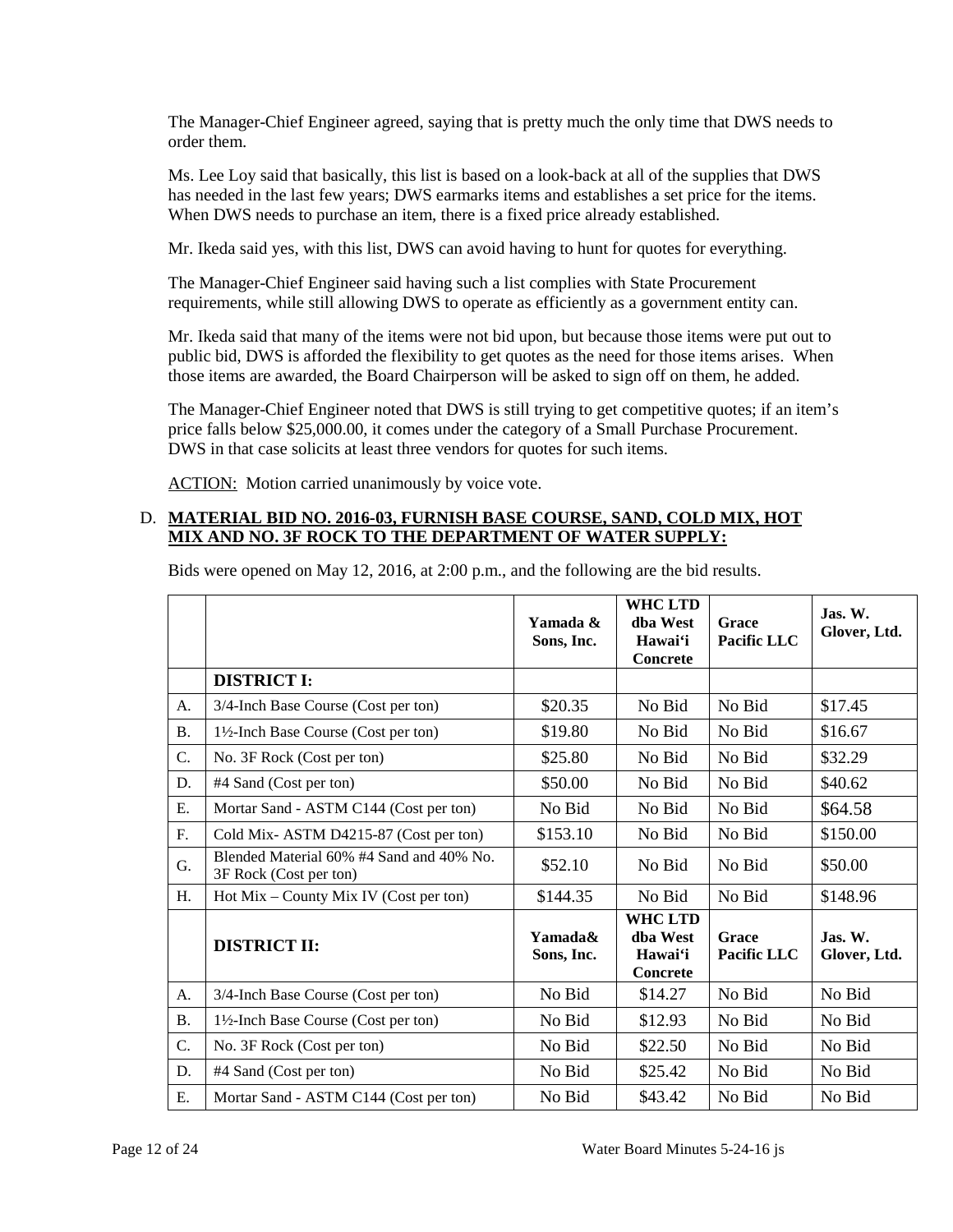The Manager-Chief Engineer agreed, saying that is pretty much the only time that DWS needs to order them.

 Ms. Lee Loy said that basically, this list is based on a look-back at all of the supplies that DWS has needed in the last few years; DWS earmarks items and establishes a set price for the items. When DWS needs to purchase an item, there is a fixed price already established.

Mr. Ikeda said yes, with this list, DWS can avoid having to hunt for quotes for everything.

The Manager-Chief Engineer said having such a list complies with State Procurement requirements, while still allowing DWS to operate as efficiently as a government entity can.

 public bid, DWS is afforded the flexibility to get quotes as the need for those items arises. When Mr. Ikeda said that many of the items were not bid upon, but because those items were put out to those items are awarded, the Board Chairperson will be asked to sign off on them, he added.

 The Manager-Chief Engineer noted that DWS is still trying to get competitive quotes; if an item's price falls below \$25,000.00, it comes under the category of a Small Purchase Procurement. DWS in that case solicits at least three vendors for quotes for such items.

ACTION: Motion carried unanimously by voice vote.

### D. **MATERIAL BID NO. 2016-03, FURNISH BASE COURSE, SAND, COLD MIX, HOT MIX AND NO. 3F ROCK TO THE DEPARTMENT OF WATER SUPPLY:**

|                 |                                                                    | Yamada &<br>Sons, Inc. | <b>WHC LTD</b><br>dha West<br>Hawai'i<br><b>Concrete</b> | Grace<br><b>Pacific LLC</b> | $\mathbf{J}$ as. W.<br>Glover, Ltd. |
|-----------------|--------------------------------------------------------------------|------------------------|----------------------------------------------------------|-----------------------------|-------------------------------------|
|                 | <b>DISTRICT I:</b>                                                 |                        |                                                          |                             |                                     |
| A.              | 3/4-Inch Base Course (Cost per ton)                                | \$20.35                | No Bid                                                   | No Bid                      | \$17.45                             |
| <b>B.</b>       | 1½-Inch Base Course (Cost per ton)                                 | \$19.80                | No Bid                                                   | No Bid                      | \$16.67                             |
| C.              | No. 3F Rock (Cost per ton)                                         | \$25.80                | No Bid                                                   | No Bid                      | \$32.29                             |
| D.              | #4 Sand (Cost per ton)                                             | \$50.00                | No Bid                                                   | No Bid                      | \$40.62                             |
| Ε.              | Mortar Sand - ASTM C144 (Cost per ton)                             | No Bid                 | No Bid                                                   | No Bid                      | \$64.58                             |
| F.              | Cold Mix-ASTM D4215-87 (Cost per ton)                              | \$153.10               | No Bid                                                   | No Bid                      | \$150.00                            |
| G.              | Blended Material 60% #4 Sand and 40% No.<br>3F Rock (Cost per ton) | \$52.10                | No Bid                                                   | No Bid                      | \$50.00                             |
| H.              | $Hot Mix - County Mix IV (Cost per ton)$                           | \$144.35               | No Bid                                                   | No Bid                      | \$148.96                            |
|                 | <b>DISTRICT II:</b>                                                | Yamada&<br>Sons, Inc.  | <b>WHC LTD</b><br>dba West<br>Hawai'i<br><b>Concrete</b> | Grace<br>Pacific LLC        | $\mathbf{J}$ as. W.<br>Glover, Ltd. |
| A.              | 3/4-Inch Base Course (Cost per ton)                                | No Bid                 | \$14.27                                                  | No Bid                      | No Bid                              |
| <b>B.</b>       | 1½-Inch Base Course (Cost per ton)                                 | No Bid                 | \$12.93                                                  | No Bid                      | No Bid                              |
| $\mathcal{C}$ . | No. 3F Rock (Cost per ton)                                         | No Bid                 | \$22.50                                                  | No Bid                      | No Bid                              |
| D.              | #4 Sand (Cost per ton)                                             | No Bid                 | \$25.42                                                  | No Bid                      | No Bid                              |
| Ε.              | Mortar Sand - ASTM C144 (Cost per ton)                             | No Bid                 | \$43.42                                                  | No Bid                      | No Bid                              |

Bids were opened on May 12, 2016, at 2:00 p.m., and the following are the bid results.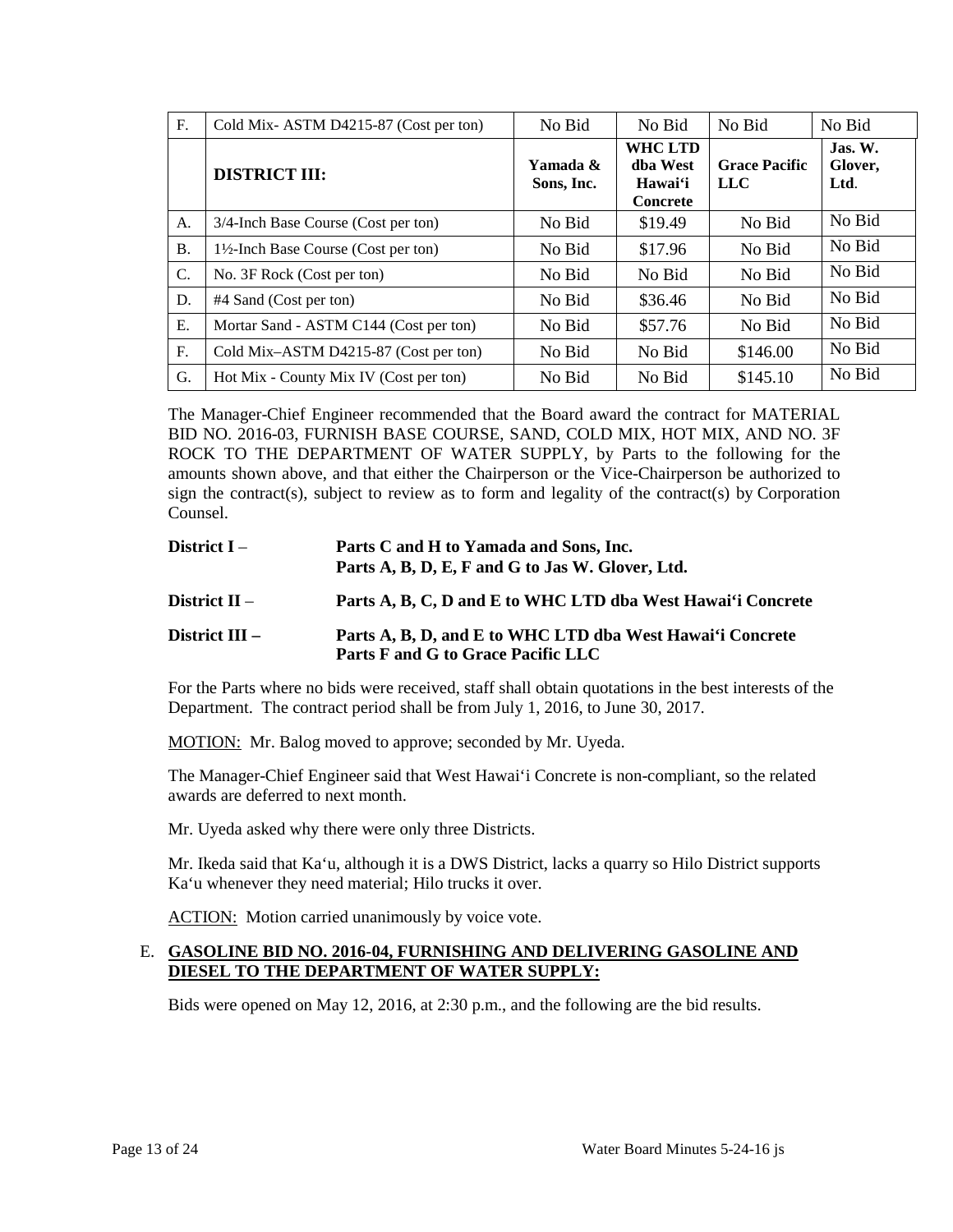| F.        | Cold Mix-ASTM D4215-87 (Cost per ton)           | No Bid                 | No Bid                                                   | No Bid                             | No Bid                     |
|-----------|-------------------------------------------------|------------------------|----------------------------------------------------------|------------------------------------|----------------------------|
|           | <b>DISTRICT III:</b>                            | Yamada &<br>Sons, Inc. | <b>WHC LTD</b><br>dba West<br>Hawai'i<br><b>Concrete</b> | <b>Grace Pacific</b><br><b>LLC</b> | Jas. W.<br>Glover,<br>Ltd. |
| A.        | 3/4-Inch Base Course (Cost per ton)             | No Bid                 | \$19.49                                                  | No Bid                             | No Bid                     |
| <b>B.</b> | $1\frac{1}{2}$ -Inch Base Course (Cost per ton) | No Bid                 | \$17.96                                                  | No Bid                             | No Bid                     |
| C.        | No. 3F Rock (Cost per ton)                      | No Bid                 | No Bid                                                   | No Bid                             | No Bid                     |
| D.        | #4 Sand (Cost per ton)                          | No Bid                 | \$36.46                                                  | No Bid                             | No Bid                     |
| Ε.        | Mortar Sand - ASTM C144 (Cost per ton)          | No Bid                 | \$57.76                                                  | No Bid                             | No Bid                     |
| F.        | Cold Mix-ASTM D4215-87 (Cost per ton)           | No Bid                 | No Bid                                                   | \$146.00                           | No Bid                     |
| G.        | Hot Mix - County Mix IV (Cost per ton)          | No Bid                 | No Bid                                                   | \$145.10                           | No Bid                     |

 BID NO. 2016-03, FURNISH BASE COURSE, SAND, COLD MIX, HOT MIX, AND NO. 3F amounts shown above, and that either the Chairperson or the Vice-Chairperson be authorized to sign the contract(s), subject to review as to form and legality of the contract(s) by Corporation The Manager-Chief Engineer recommended that the Board award the contract for MATERIAL ROCK TO THE DEPARTMENT OF WATER SUPPLY, by Parts to the following for the Counsel.

| District I –     | Parts C and H to Yamada and Sons, Inc.<br>Parts A, B, D, E, F and G to Jas W. Glover, Ltd.      |
|------------------|-------------------------------------------------------------------------------------------------|
| District $II -$  | Parts A, B, C, D and E to WHC LTD dba West Hawai'i Concrete                                     |
| District $III -$ | Parts A, B, D, and E to WHC LTD dba West Hawai'i Concrete<br>Parts F and G to Grace Pacific LLC |

 For the Parts where no bids were received, staff shall obtain quotations in the best interests of the Department. The contract period shall be from July 1, 2016, to June 30, 2017.

MOTION: Mr. Balog moved to approve; seconded by Mr. Uyeda.

The Manager-Chief Engineer said that West Hawai'i Concrete is non-compliant, so the related awards are deferred to next month.

Mr. Uyeda asked why there were only three Districts.

Mr. Ikeda said that Ka'u, although it is a DWS District, lacks a quarry so Hilo District supports Ka'u whenever they need material; Hilo trucks it over.

ACTION: Motion carried unanimously by voice vote.

### E. **GASOLINE BID NO. 2016-04, FURNISHING AND DELIVERING GASOLINE AND DIESEL TO THE DEPARTMENT OF WATER SUPPLY:**

Bids were opened on May 12, 2016, at 2:30 p.m., and the following are the bid results.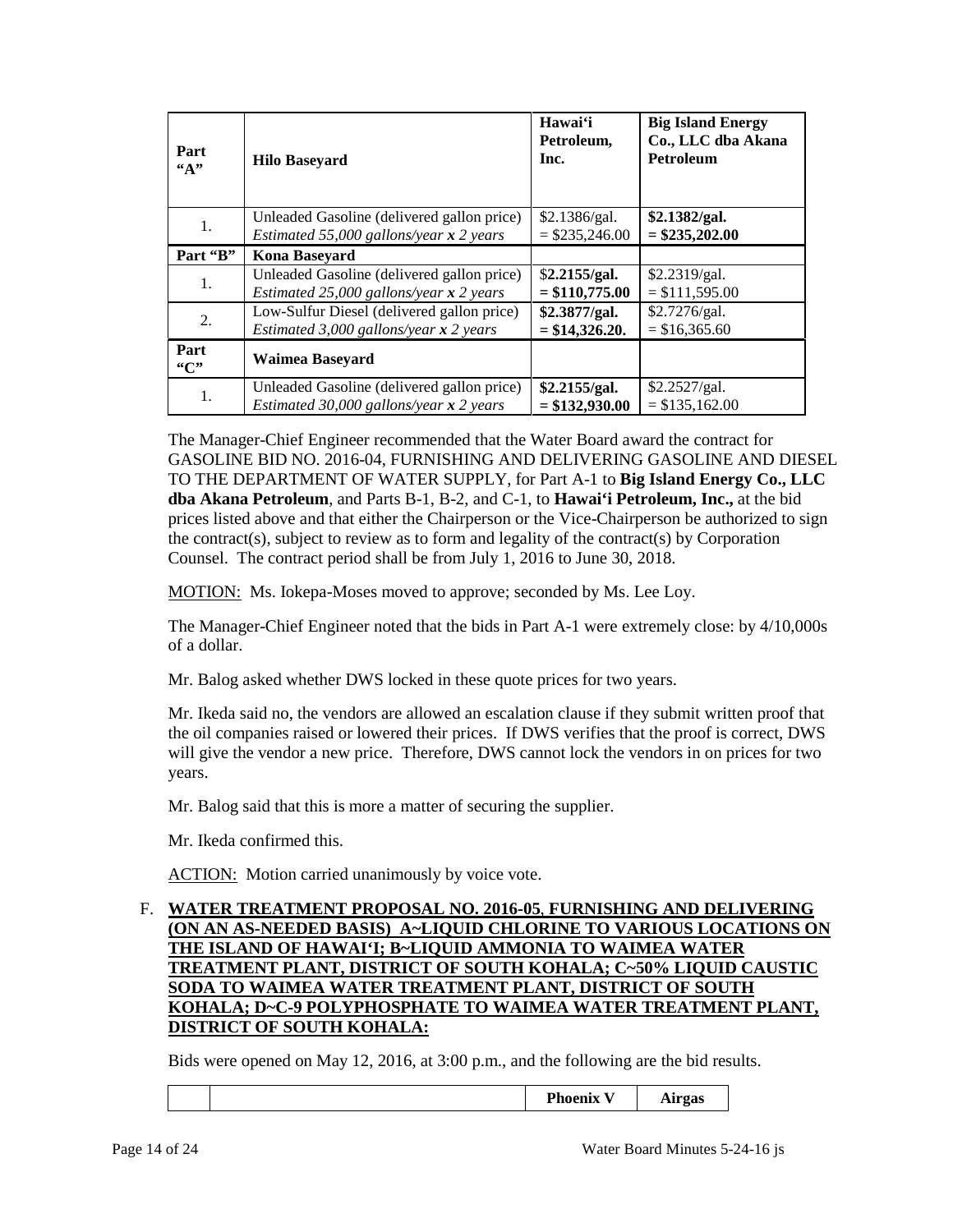| Part<br>A    | <b>Hilo Baseyard</b>                       | Hawai'i<br>Petroleum,<br>Inc. | <b>Big Island Energy</b><br>Co., LLC dba Akana<br><b>Petroleum</b> |
|--------------|--------------------------------------------|-------------------------------|--------------------------------------------------------------------|
| 1.           | Unleaded Gasoline (delivered gallon price) | \$2.1386/gal.                 | \$2.1382/gal.                                                      |
|              | Estimated 55,000 gallons/year $x$ 2 years  | $=$ \$235,246.00              | $=$ \$235,202.00                                                   |
| Part "B"     | Kona Baseyard                              |                               |                                                                    |
| 1.           | Unleaded Gasoline (delivered gallon price) | \$2.2155/gal.                 | \$2.2319/gal.                                                      |
|              | Estimated 25,000 gallons/year $x$ 2 years  | $=$ \$110,775.00              | $= $111,595.00$                                                    |
| 2.           | Low-Sulfur Diesel (delivered gallon price) | \$2.3877/gal.                 | \$2.7276/gal.                                                      |
|              | Estimated 3,000 gallons/year $x$ 2 years   | $=$ \$14,326.20.              | $=$ \$16,365.60                                                    |
| Part<br>``C" | Waimea Baseyard                            |                               |                                                                    |
| 1.           | Unleaded Gasoline (delivered gallon price) | \$2.2155/gal.                 | \$2.2527/gal.                                                      |
|              | Estimated 30,000 gallons/year $x$ 2 years  | $= $132,930.00$               | $= $135,162.00$                                                    |

 The Manager-Chief Engineer recommended that the Water Board award the contract for  **dba Akana Petroleum**, and Parts B-1, B-2, and C-1, to **Hawai'i Petroleum, Inc.,** at the bid prices listed above and that either the Chairperson or the Vice-Chairperson be authorized to sign GASOLINE BID NO. 2016-04, FURNISHING AND DELIVERING GASOLINE AND DIESEL TO THE DEPARTMENT OF WATER SUPPLY, for Part A-1 to **Big Island Energy Co., LLC**  the contract(s), subject to review as to form and legality of the contract(s) by Corporation Counsel. The contract period shall be from July 1, 2016 to June 30, 2018.

MOTION: Ms. Iokepa-Moses moved to approve; seconded by Ms. Lee Loy.

The Manager-Chief Engineer noted that the bids in Part A-1 were extremely close: by 4/10,000s of a dollar.

Mr. Balog asked whether DWS locked in these quote prices for two years.

 will give the vendor a new price. Therefore, DWS cannot lock the vendors in on prices for two Mr. Ikeda said no, the vendors are allowed an escalation clause if they submit written proof that the oil companies raised or lowered their prices. If DWS verifies that the proof is correct, DWS years.

Mr. Balog said that this is more a matter of securing the supplier.

Mr. Ikeda confirmed this.

ACTION: Motion carried unanimously by voice vote.

### **THE ISLAND OF HAWAI'I; B~LIQUID AMMONIA TO WAIMEA WATER**  F. **WATER TREATMENT PROPOSAL NO. 2016-05**, **FURNISHING AND DELIVERING (ON AN AS-NEEDED BASIS) A~LIQUID CHLORINE TO VARIOUS LOCATIONS ON TREATMENT PLANT, DISTRICT OF SOUTH KOHALA; C~50% LIQUID CAUSTIC SODA TO WAIMEA WATER TREATMENT PLANT, DISTRICT OF SOUTH KOHALA; D~C-9 POLYPHOSPHATE TO WAIMEA WATER TREATMENT PLANT, DISTRICT OF SOUTH KOHALA:**

Bids were opened on May 12, 2016, at 3:00 p.m., and the following are the bid results.

|  |  |  | --<br>m<br>---<br><b>F</b> noemix | -----<br>ган цаз<br>ິ |
|--|--|--|-----------------------------------|-----------------------|
|--|--|--|-----------------------------------|-----------------------|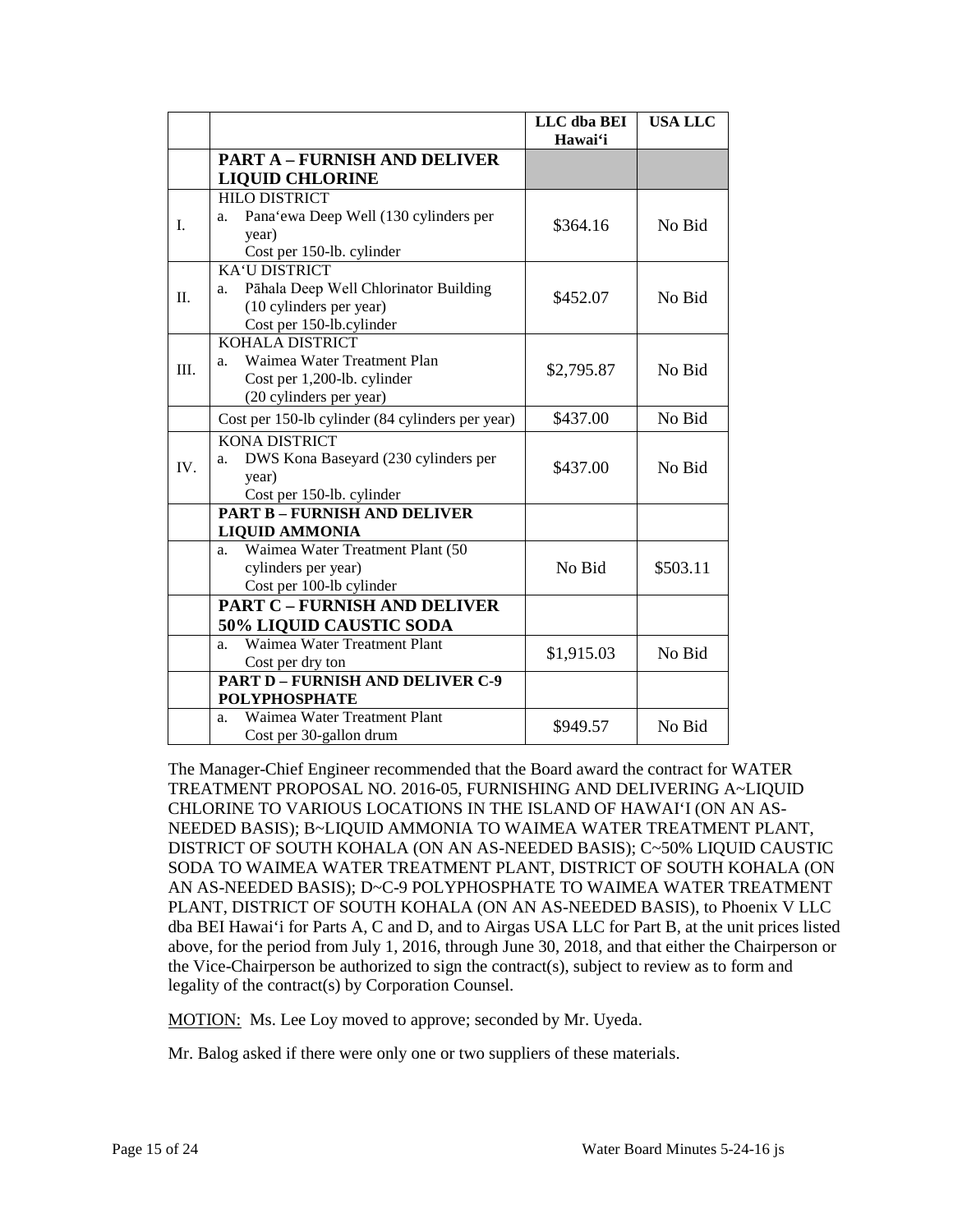|         |                                                  | LLC dba BEI | <b>USA LLC</b> |
|---------|--------------------------------------------------|-------------|----------------|
|         |                                                  | Hawai'i     |                |
|         | <b>PART A - FURNISH AND DELIVER</b>              |             |                |
|         | <b>LIQUID CHLORINE</b>                           |             |                |
|         | <b>HILO DISTRICT</b>                             |             |                |
| I.      | Pana'ewa Deep Well (130 cylinders per<br>a.      | \$364.16    | No Bid         |
|         | year)                                            |             |                |
|         | Cost per 150-lb. cylinder                        |             |                |
|         | <b>KA'U DISTRICT</b>                             |             |                |
| $\Pi$ . | Pāhala Deep Well Chlorinator Building<br>a.      | \$452.07    | No Bid         |
|         | (10 cylinders per year)                          |             |                |
|         | Cost per 150-lb.cylinder                         |             |                |
|         | <b>KOHALA DISTRICT</b>                           |             |                |
| III.    | Waimea Water Treatment Plan<br>a.                | \$2,795.87  | No Bid         |
|         | Cost per 1,200-lb. cylinder                      |             |                |
|         | (20 cylinders per year)                          |             |                |
|         | Cost per 150-lb cylinder (84 cylinders per year) | \$437.00    | No Bid         |
| IV.     | <b>KONA DISTRICT</b>                             |             |                |
|         | DWS Kona Baseyard (230 cylinders per<br>a.       | \$437.00    | No Bid         |
|         | year)                                            |             |                |
|         | Cost per 150-lb. cylinder                        |             |                |
|         | <b>PART B - FURNISH AND DELIVER</b>              |             |                |
|         | <b>LIQUID AMMONIA</b>                            |             |                |
|         | Waimea Water Treatment Plant (50<br>a.           |             |                |
|         | cylinders per year)                              | No Bid      | \$503.11       |
|         | Cost per 100-lb cylinder                         |             |                |
|         | <b>PART C - FURNISH AND DELIVER</b>              |             |                |
|         | <b>50% LIQUID CAUSTIC SODA</b>                   |             |                |
|         | Waimea Water Treatment Plant<br>a.               | \$1,915.03  | No Bid         |
|         | Cost per dry ton                                 |             |                |
|         | <b>PART D - FURNISH AND DELIVER C-9</b>          |             |                |
|         | <b>POLYPHOSPHATE</b>                             |             |                |
|         | Waimea Water Treatment Plant<br>a.               | \$949.57    | No Bid         |
|         | Cost per 30-gallon drum                          |             |                |

 CHLORINE TO VARIOUS LOCATIONS IN THE ISLAND OF HAWAI'I (ON AN AS- NEEDED BASIS); B~LIQUID AMMONIA TO WAIMEA WATER TREATMENT PLANT, above, for the period from July 1, 2016, through June 30, 2018, and that either the Chairperson or the Vice-Chairperson be authorized to sign the contract(s), subject to review as to form and The Manager-Chief Engineer recommended that the Board award the contract for WATER TREATMENT PROPOSAL NO. 2016-05, FURNISHING AND DELIVERING A~LIQUID DISTRICT OF SOUTH KOHALA (ON AN AS-NEEDED BASIS); C~50% LIQUID CAUSTIC SODA TO WAIMEA WATER TREATMENT PLANT, DISTRICT OF SOUTH KOHALA (ON AN AS-NEEDED BASIS); D~C-9 POLYPHOSPHATE TO WAIMEA WATER TREATMENT PLANT, DISTRICT OF SOUTH KOHALA (ON AN AS-NEEDED BASIS), to Phoenix V LLC dba BEI Hawai'i for Parts A, C and D, and to Airgas USA LLC for Part B, at the unit prices listed legality of the contract(s) by Corporation Counsel.

MOTION: Ms. Lee Loy moved to approve; seconded by Mr. Uyeda.

Mr. Balog asked if there were only one or two suppliers of these materials.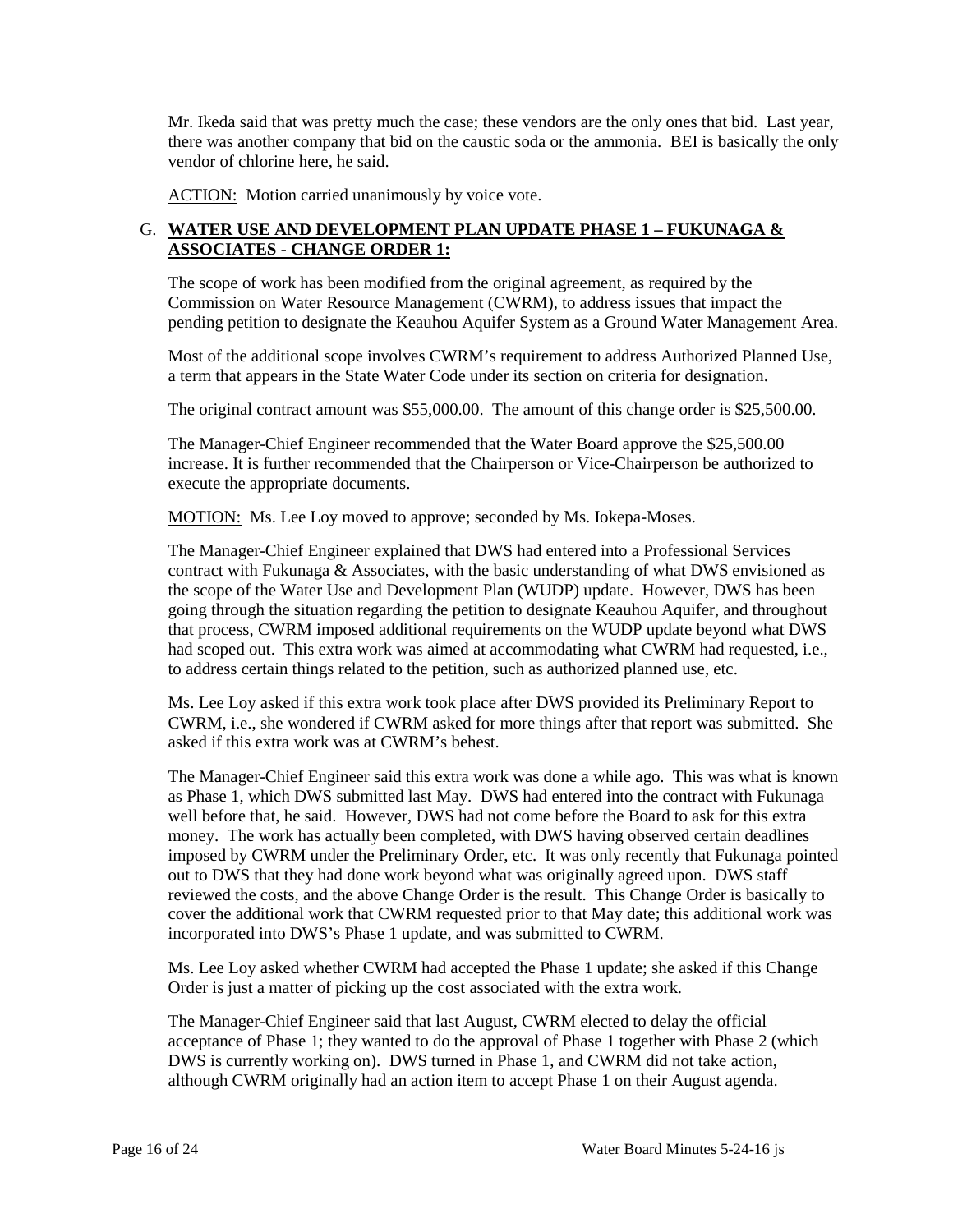vendor of chlorine here, he said. Mr. Ikeda said that was pretty much the case; these vendors are the only ones that bid. Last year, there was another company that bid on the caustic soda or the ammonia. BEI is basically the only

ACTION: Motion carried unanimously by voice vote.

## G. **WATER USE AND DEVELOPMENT PLAN UPDATE PHASE 1 – FUKUNAGA & ASSOCIATES - CHANGE ORDER 1:**

The scope of work has been modified from the original agreement, as required by the Commission on Water Resource Management (CWRM), to address issues that impact the

 pending petition to designate the Keauhou Aquifer System as a Ground Water Management Area. Most of the additional scope involves CWRM's requirement to address Authorized Planned Use, Most of the additional scope involves CWRM's requirement to address Authorized Planned Use, a term that appears in the State Water Code under its section on criteria for designation.

The original contract amount was \$55,000.00. The amount of this change order is \$25,500.00.

 The Manager-Chief Engineer recommended that the Water Board approve the \$25,500.00 increase. It is further recommended that the Chairperson or Vice-Chairperson be authorized to execute the appropriate documents.

MOTION: Ms. Lee Loy moved to approve; seconded by Ms. Iokepa-Moses.

 The Manager-Chief Engineer explained that DWS had entered into a Professional Services going through the situation regarding the petition to designate Keauhou Aquifer, and throughout that process, CWRM imposed additional requirements on the WUDP update beyond what DWS had scoped out. This extra work was aimed at accommodating what CWRM had requested, i.e., to address certain things related to the petition, such as authorized planned use, etc. contract with Fukunaga & Associates, with the basic understanding of what DWS envisioned as the scope of the Water Use and Development Plan (WUDP) update. However, DWS has been

Ms. Lee Loy asked if this extra work took place after DWS provided its Preliminary Report to CWRM, i.e., she wondered if CWRM asked for more things after that report was submitted. She asked if this extra work was at CWRM's behest.

 The Manager-Chief Engineer said this extra work was done a while ago. This was what is known well before that, he said. However, DWS had not come before the Board to ask for this extra imposed by CWRM under the Preliminary Order, etc. It was only recently that Fukunaga pointed reviewed the costs, and the above Change Order is the result. This Change Order is basically to cover the additional work that CWRM requested prior to that May date; this additional work was as Phase 1, which DWS submitted last May. DWS had entered into the contract with Fukunaga money. The work has actually been completed, with DWS having observed certain deadlines out to DWS that they had done work beyond what was originally agreed upon. DWS staff incorporated into DWS's Phase 1 update, and was submitted to CWRM.

 Order is just a matter of picking up the cost associated with the extra work. Ms. Lee Loy asked whether CWRM had accepted the Phase 1 update; she asked if this Change

The Manager-Chief Engineer said that last August, CWRM elected to delay the official acceptance of Phase 1; they wanted to do the approval of Phase 1 together with Phase 2 (which DWS is currently working on). DWS turned in Phase 1, and CWRM did not take action, although CWRM originally had an action item to accept Phase 1 on their August agenda.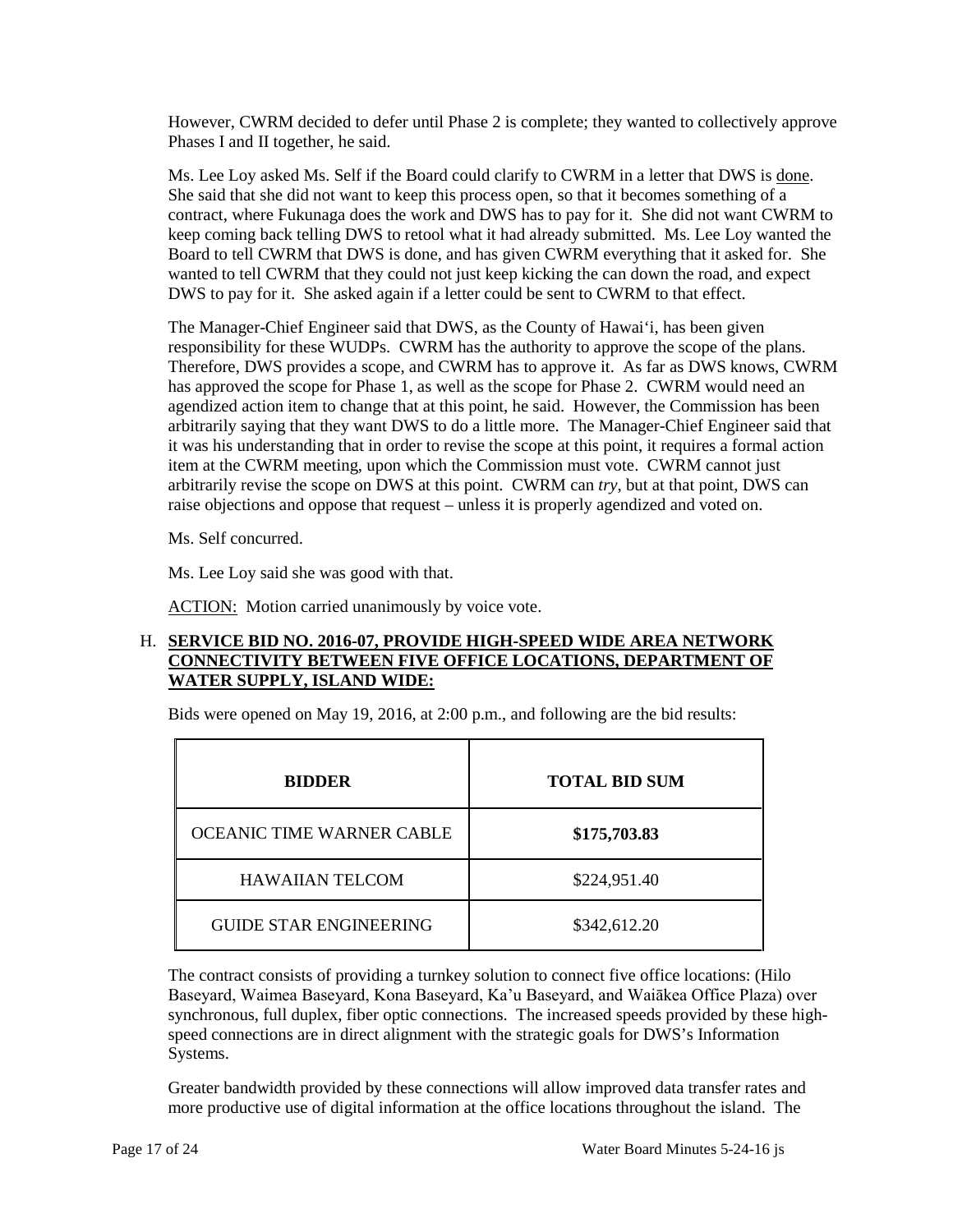However, CWRM decided to defer until Phase 2 is complete; they wanted to collectively approve Phases I and II together, he said.

Ms. Lee Loy asked Ms. Self if the Board could clarify to CWRM in a letter that DWS is done. She said that she did not want to keep this process open, so that it becomes something of a DWS to pay for it. She asked again if a letter could be sent to CWRM to that effect. contract, where Fukunaga does the work and DWS has to pay for it. She did not want CWRM to keep coming back telling DWS to retool what it had already submitted. Ms. Lee Loy wanted the Board to tell CWRM that DWS is done, and has given CWRM everything that it asked for. She wanted to tell CWRM that they could not just keep kicking the can down the road, and expect

responsibility for these WUDPs. CWRM has the authority to approve the scope of the plans. arbitrarily saying that they want DWS to do a little more. The Manager-Chief Engineer said that item at the CWRM meeting, upon which the Commission must vote. CWRM cannot just raise objections and oppose that request – unless it is properly agendized and voted on. The Manager-Chief Engineer said that DWS, as the County of Hawai'i, has been given Therefore, DWS provides a scope, and CWRM has to approve it. As far as DWS knows, CWRM has approved the scope for Phase 1, as well as the scope for Phase 2. CWRM would need an agendized action item to change that at this point, he said. However, the Commission has been it was his understanding that in order to revise the scope at this point, it requires a formal action arbitrarily revise the scope on DWS at this point. CWRM can *try*, but at that point, DWS can

Ms. Self concurred.

Ms. Lee Loy said she was good with that.

ACTION: Motion carried unanimously by voice vote.

### H. **SERVICE BID NO. 2016-07, PROVIDE HIGH-SPEED WIDE AREA NETWORK CONNECTIVITY BETWEEN FIVE OFFICE LOCATIONS, DEPARTMENT OF WATER SUPPLY, ISLAND WIDE:**

Bids were opened on May 19, 2016, at 2:00 p.m., and following are the bid results:

| <b>BIDDER</b>                 | <b>TOTAL BID SUM</b> |  |  |
|-------------------------------|----------------------|--|--|
| OCEANIC TIME WARNER CABLE     | \$175,703.83         |  |  |
| <b>HAWAIIAN TELCOM</b>        | \$224,951.40         |  |  |
| <b>GUIDE STAR ENGINEERING</b> | \$342,612.20         |  |  |

 The contract consists of providing a turnkey solution to connect five office locations: (Hilo Baseyard, Waimea Baseyard, Kona Baseyard, Ka'u Baseyard, and Waiākea Office Plaza) over synchronous, full duplex, fiber optic connections. The increased speeds provided by these highspeed connections are in direct alignment with the strategic goals for DWS's Information Systems.

 more productive use of digital information at the office locations throughout the island. The Greater bandwidth provided by these connections will allow improved data transfer rates and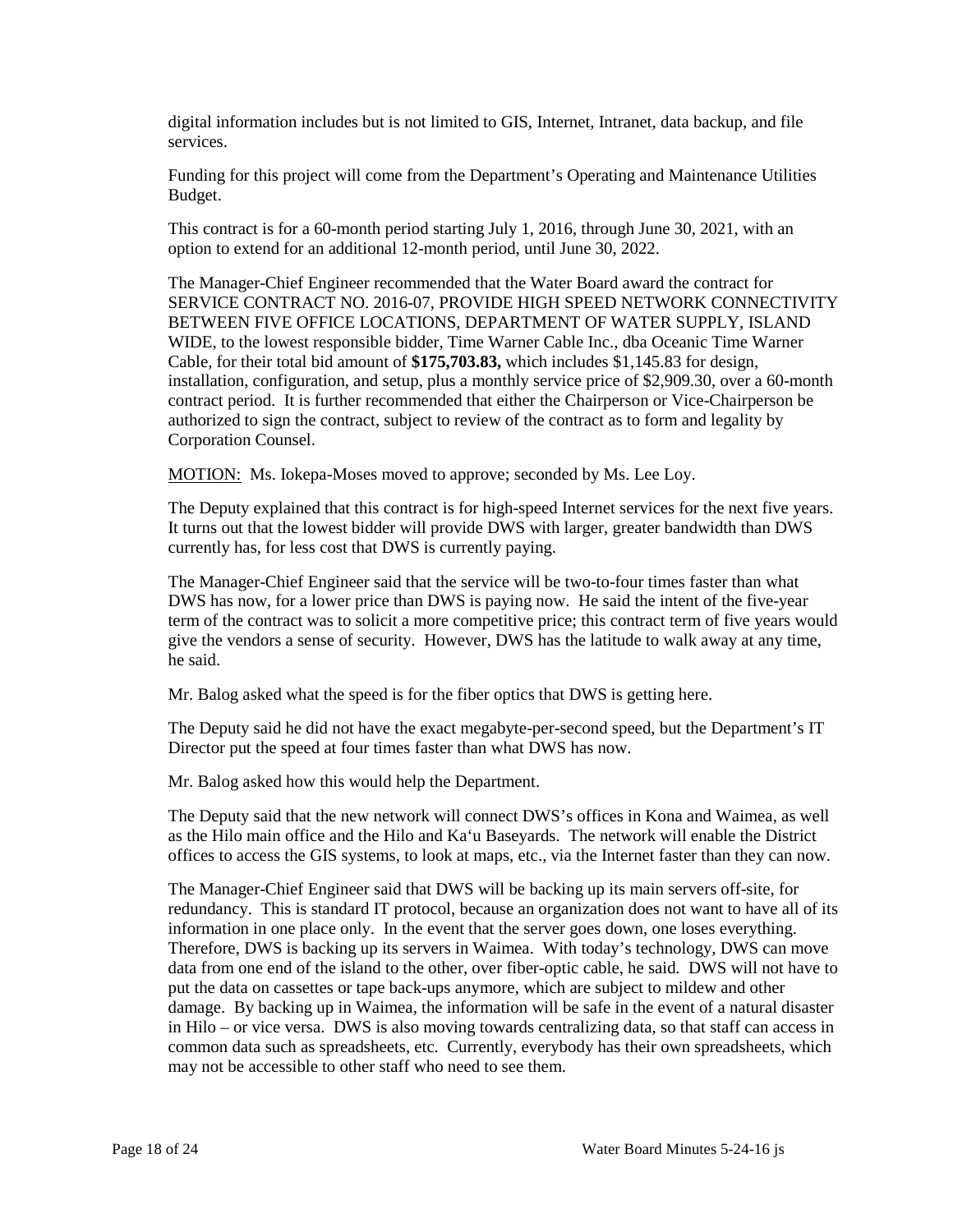digital information includes but is not limited to GIS, Internet, Intranet, data backup, and file services.

Funding for this project will come from the Department's Operating and Maintenance Utilities Budget.

 This contract is for a 60-month period starting July 1, 2016, through June 30, 2021, with an option to extend for an additional 12-month period, until June 30, 2022.

 BETWEEN FIVE OFFICE LOCATIONS, DEPARTMENT OF WATER SUPPLY, ISLAND The Manager-Chief Engineer recommended that the Water Board award the contract for SERVICE CONTRACT NO. 2016-07, PROVIDE HIGH SPEED NETWORK CONNECTIVITY WIDE, to the lowest responsible bidder, Time Warner Cable Inc., dba Oceanic Time Warner Cable, for their total bid amount of **\$175,703.83,** which includes \$1,145.83 for design, installation, configuration, and setup, plus a monthly service price of \$2,909.30, over a 60-month contract period. It is further recommended that either the Chairperson or Vice-Chairperson be authorized to sign the contract, subject to review of the contract as to form and legality by Corporation Counsel.

MOTION: Ms. Iokepa-Moses moved to approve; seconded by Ms. Lee Loy.

 The Deputy explained that this contract is for high-speed Internet services for the next five years. It turns out that the lowest bidder will provide DWS with larger, greater bandwidth than DWS currently has, for less cost that DWS is currently paying.

 The Manager-Chief Engineer said that the service will be two-to-four times faster than what DWS has now, for a lower price than DWS is paying now. He said the intent of the five-year term of the contract was to solicit a more competitive price; this contract term of five years would give the vendors a sense of security. However, DWS has the latitude to walk away at any time, he said.

Mr. Balog asked what the speed is for the fiber optics that DWS is getting here.

The Deputy said he did not have the exact megabyte-per-second speed, but the Department's IT Director put the speed at four times faster than what DWS has now.

Mr. Balog asked how this would help the Department.

 The Deputy said that the new network will connect DWS's offices in Kona and Waimea, as well as the Hilo main office and the Hilo and Ka'u Baseyards. The network will enable the District offices to access the GIS systems, to look at maps, etc., via the Internet faster than they can now.

 redundancy. This is standard IT protocol, because an organization does not want to have all of its data from one end of the island to the other, over fiber-optic cable, he said. DWS will not have to in Hilo – or vice versa. DWS is also moving towards centralizing data, so that staff can access in may not be accessible to other staff who need to see them. The Manager-Chief Engineer said that DWS will be backing up its main servers off-site, for information in one place only. In the event that the server goes down, one loses everything. Therefore, DWS is backing up its servers in Waimea. With today's technology, DWS can move put the data on cassettes or tape back-ups anymore, which are subject to mildew and other damage. By backing up in Waimea, the information will be safe in the event of a natural disaster common data such as spreadsheets, etc. Currently, everybody has their own spreadsheets, which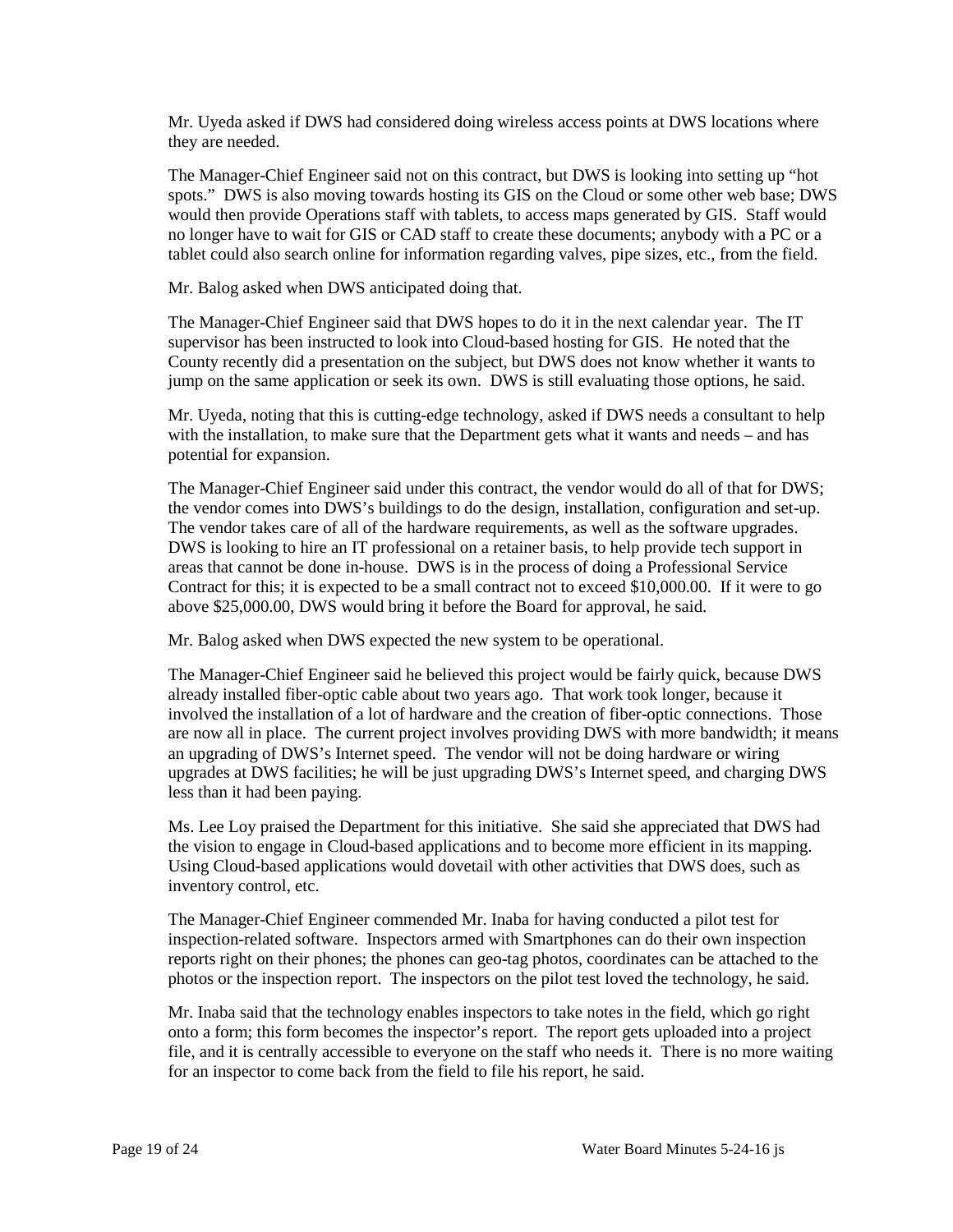Mr. Uyeda asked if DWS had considered doing wireless access points at DWS locations where they are needed.

 The Manager-Chief Engineer said not on this contract, but DWS is looking into setting up "hot no longer have to wait for GIS or CAD staff to create these documents; anybody with a PC or a tablet could also search online for information regarding valves, pipe sizes, etc., from the field. spots." DWS is also moving towards hosting its GIS on the Cloud or some other web base; DWS would then provide Operations staff with tablets, to access maps generated by GIS. Staff would

Mr. Balog asked when DWS anticipated doing that.

 The Manager-Chief Engineer said that DWS hopes to do it in the next calendar year. The IT supervisor has been instructed to look into Cloud-based hosting for GIS. He noted that the County recently did a presentation on the subject, but DWS does not know whether it wants to jump on the same application or seek its own. DWS is still evaluating those options, he said.

 Mr. Uyeda, noting that this is cutting-edge technology, asked if DWS needs a consultant to help with the installation, to make sure that the Department gets what it wants and needs – and has potential for expansion.

 The Manager-Chief Engineer said under this contract, the vendor would do all of that for DWS; Contract for this; it is expected to be a small contract not to exceed \$10,000.00. If it were to go the vendor comes into DWS's buildings to do the design, installation, configuration and set-up. The vendor takes care of all of the hardware requirements, as well as the software upgrades. DWS is looking to hire an IT professional on a retainer basis, to help provide tech support in areas that cannot be done in-house. DWS is in the process of doing a Professional Service above \$25,000.00, DWS would bring it before the Board for approval, he said.

Mr. Balog asked when DWS expected the new system to be operational.

 already installed fiber-optic cable about two years ago. That work took longer, because it involved the installation of a lot of hardware and the creation of fiber-optic connections. Those an upgrading of DWS's Internet speed. The vendor will not be doing hardware or wiring upgrades at DWS facilities; he will be just upgrading DWS's Internet speed, and charging DWS The Manager-Chief Engineer said he believed this project would be fairly quick, because DWS are now all in place. The current project involves providing DWS with more bandwidth; it means less than it had been paying.

 Ms. Lee Loy praised the Department for this initiative. She said she appreciated that DWS had the vision to engage in Cloud-based applications and to become more efficient in its mapping. Using Cloud-based applications would dovetail with other activities that DWS does, such as inventory control, etc.

The Manager-Chief Engineer commended Mr. Inaba for having conducted a pilot test for inspection-related software. Inspectors armed with Smartphones can do their own inspection reports right on their phones; the phones can geo-tag photos, coordinates can be attached to the photos or the inspection report. The inspectors on the pilot test loved the technology, he said.

 Mr. Inaba said that the technology enables inspectors to take notes in the field, which go right file, and it is centrally accessible to everyone on the staff who needs it. There is no more waiting onto a form; this form becomes the inspector's report. The report gets uploaded into a project for an inspector to come back from the field to file his report, he said.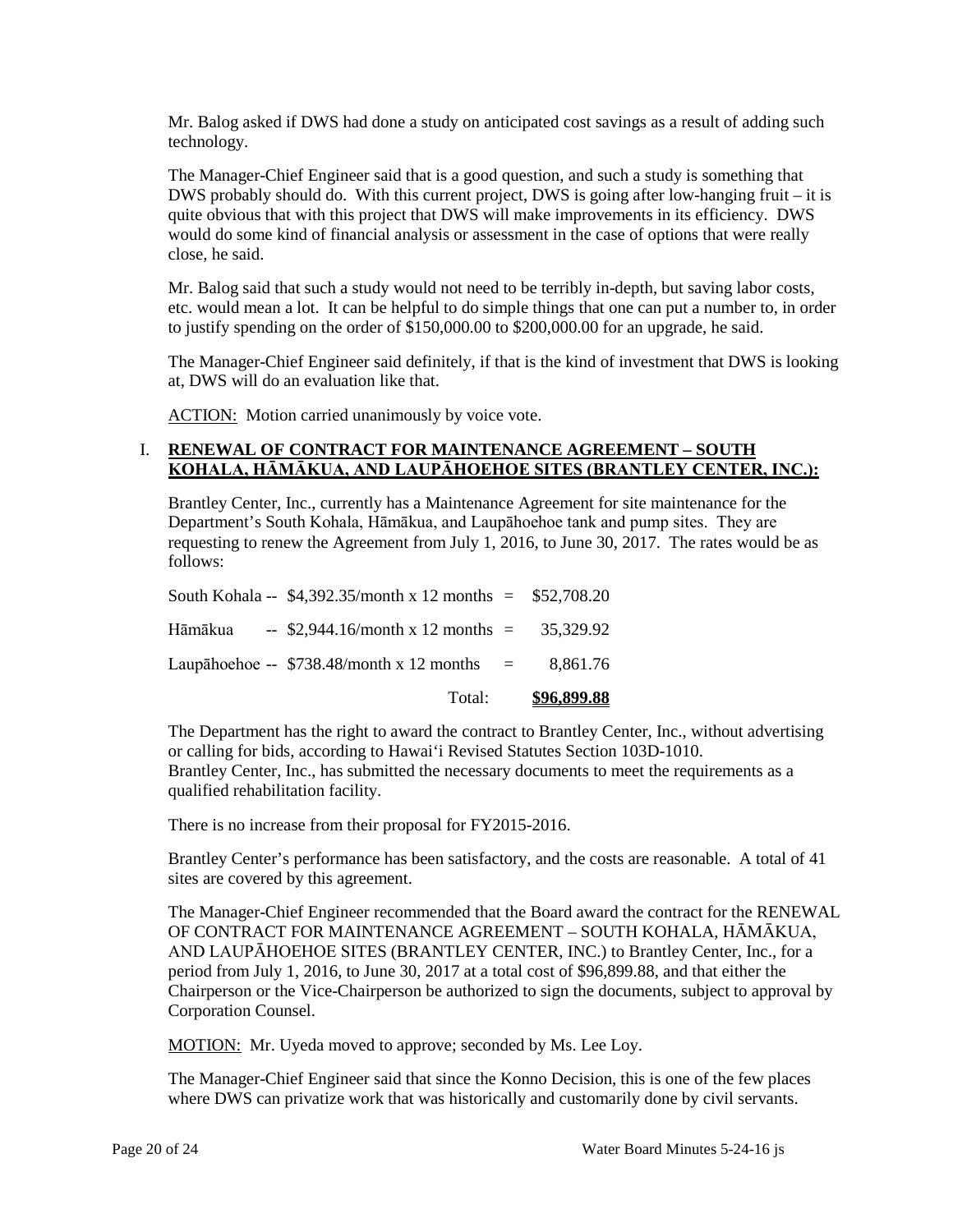Mr. Balog asked if DWS had done a study on anticipated cost savings as a result of adding such technology.

 would do some kind of financial analysis or assessment in the case of options that were really The Manager-Chief Engineer said that is a good question, and such a study is something that DWS probably should do. With this current project, DWS is going after low-hanging fruit – it is quite obvious that with this project that DWS will make improvements in its efficiency. DWS close, he said.

 Mr. Balog said that such a study would not need to be terribly in-depth, but saving labor costs, etc. would mean a lot. It can be helpful to do simple things that one can put a number to, in order to justify spending on the order of \$150,000.00 to \$200,000.00 for an upgrade, he said.

 The Manager-Chief Engineer said definitely, if that is the kind of investment that DWS is looking at, DWS will do an evaluation like that.

ACTION: Motion carried unanimously by voice vote.

## **KOHALA, HĀMĀKUA, AND LAUPĀHOEHOE SITES (BRANTLEY CENTER, INC.):**  I. **RENEWAL OF CONTRACT FOR MAINTENANCE AGREEMENT – SOUTH**

 requesting to renew the Agreement from July 1, 2016, to June 30, 2017. The rates would be as Brantley Center, Inc., currently has a Maintenance Agreement for site maintenance for the Department's South Kohala, Hāmākua, and Laupāhoehoe tank and pump sites. They are follows:

| Total:                                                        | \$96,899.88 |
|---------------------------------------------------------------|-------------|
| Laupāhoehoe -- $$738.48/month x 12 months =$                  | 8.861.76    |
| Hāmākua -- \$2,944.16/month x 12 months = $35,329.92$         |             |
| South Kohala -- $$4,392.35/m$ onth x 12 months = $$52,708.20$ |             |

 Brantley Center, Inc., has submitted the necessary documents to meet the requirements as a The Department has the right to award the contract to Brantley Center, Inc., without advertising or calling for bids, according to Hawai'i Revised Statutes Section 103D-1010. qualified rehabilitation facility.

There is no increase from their proposal for FY2015-2016.

 Brantley Center's performance has been satisfactory, and the costs are reasonable. A total of 41 sites are covered by this agreement.

 AND LAUPĀHOEHOE SITES (BRANTLEY CENTER, INC.) to Brantley Center, Inc., for a period from July 1, 2016, to June 30, 2017 at a total cost of \$96,899.88, and that either the The Manager-Chief Engineer recommended that the Board award the contract for the RENEWAL OF CONTRACT FOR MAINTENANCE AGREEMENT – SOUTH KOHALA, HĀMĀKUA, Chairperson or the Vice-Chairperson be authorized to sign the documents, subject to approval by Corporation Counsel.

MOTION: Mr. Uyeda moved to approve; seconded by Ms. Lee Loy.

 The Manager-Chief Engineer said that since the Konno Decision, this is one of the few places where DWS can privatize work that was historically and customarily done by civil servants.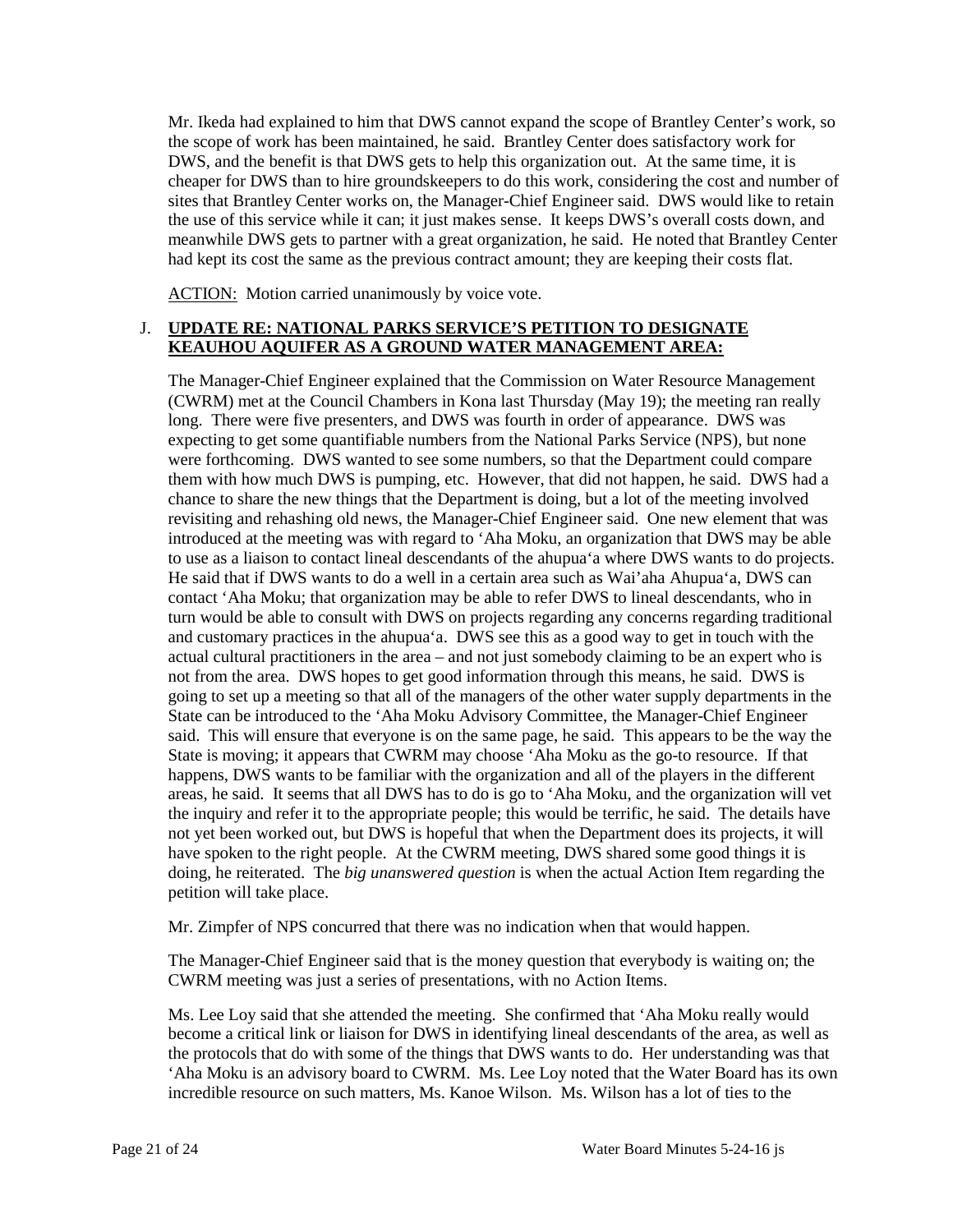the use of this service while it can; it just makes sense. It keeps DWS's overall costs down, and Mr. Ikeda had explained to him that DWS cannot expand the scope of Brantley Center's work, so the scope of work has been maintained, he said. Brantley Center does satisfactory work for DWS, and the benefit is that DWS gets to help this organization out. At the same time, it is cheaper for DWS than to hire groundskeepers to do this work, considering the cost and number of sites that Brantley Center works on, the Manager-Chief Engineer said. DWS would like to retain meanwhile DWS gets to partner with a great organization, he said. He noted that Brantley Center had kept its cost the same as the previous contract amount; they are keeping their costs flat.

ACTION: Motion carried unanimously by voice vote.

## J. **UPDATE RE: NATIONAL PARKS SERVICE'S PETITION TO DESIGNATE KEAUHOU AQUIFER AS A GROUND WATER MANAGEMENT AREA:**

 (CWRM) met at the Council Chambers in Kona last Thursday (May 19); the meeting ran really chance to share the new things that the Department is doing, but a lot of the meeting involved revisiting and rehashing old news, the Manager-Chief Engineer said. One new element that was contact 'Aha Moku; that organization may be able to refer DWS to lineal descendants, who in actual cultural practitioners in the area – and not just somebody claiming to be an expert who is going to set up a meeting so that all of the managers of the other water supply departments in the said. This will ensure that everyone is on the same page, he said. This appears to be the way the happens, DWS wants to be familiar with the organization and all of the players in the different the inquiry and refer it to the appropriate people; this would be terrific, he said. The details have have spoken to the right people. At the CWRM meeting, DWS shared some good things it is The Manager-Chief Engineer explained that the Commission on Water Resource Management long. There were five presenters, and DWS was fourth in order of appearance. DWS was expecting to get some quantifiable numbers from the National Parks Service (NPS), but none were forthcoming. DWS wanted to see some numbers, so that the Department could compare them with how much DWS is pumping, etc. However, that did not happen, he said. DWS had a introduced at the meeting was with regard to 'Aha Moku, an organization that DWS may be able to use as a liaison to contact lineal descendants of the ahupua'a where DWS wants to do projects. He said that if DWS wants to do a well in a certain area such as Wai'aha Ahupua'a, DWS can turn would be able to consult with DWS on projects regarding any concerns regarding traditional and customary practices in the ahupua'a. DWS see this as a good way to get in touch with the not from the area. DWS hopes to get good information through this means, he said. DWS is State can be introduced to the 'Aha Moku Advisory Committee, the Manager-Chief Engineer State is moving; it appears that CWRM may choose 'Aha Moku as the go-to resource. If that areas, he said. It seems that all DWS has to do is go to 'Aha Moku, and the organization will vet not yet been worked out, but DWS is hopeful that when the Department does its projects, it will doing, he reiterated. The *big unanswered question* is when the actual Action Item regarding the petition will take place.

Mr. Zimpfer of NPS concurred that there was no indication when that would happen.

The Manager-Chief Engineer said that is the money question that everybody is waiting on; the CWRM meeting was just a series of presentations, with no Action Items.

 become a critical link or liaison for DWS in identifying lineal descendants of the area, as well as the protocols that do with some of the things that DWS wants to do. Her understanding was that incredible resource on such matters, Ms. Kanoe Wilson. Ms. Wilson has a lot of ties to the Ms. Lee Loy said that she attended the meeting. She confirmed that 'Aha Moku really would 'Aha Moku is an advisory board to CWRM. Ms. Lee Loy noted that the Water Board has its own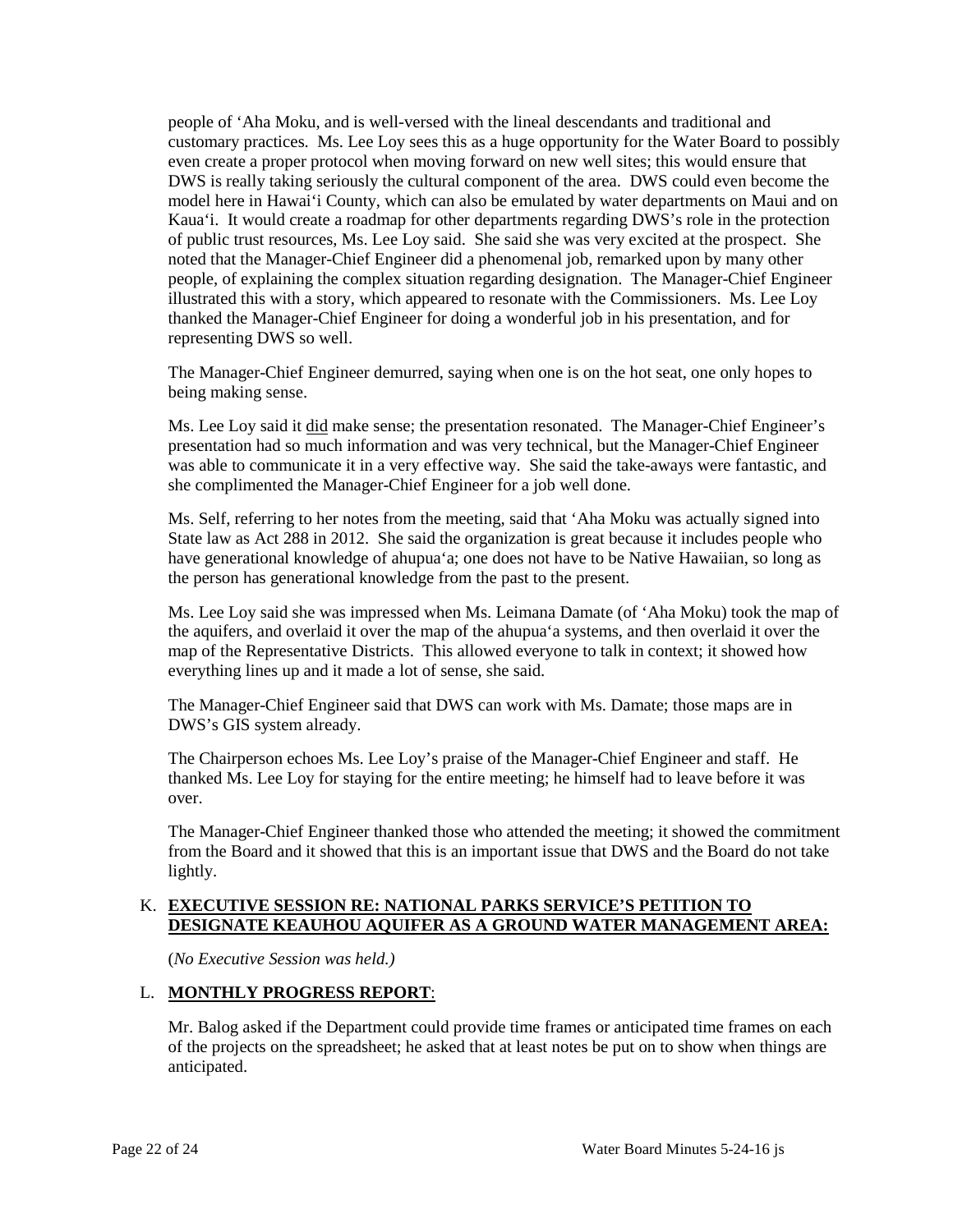customary practices. Ms. Lee Loy sees this as a huge opportunity for the Water Board to possibly even create a proper protocol when moving forward on new well sites; this would ensure that DWS is really taking seriously the cultural component of the area. DWS could even become the noted that the Manager-Chief Engineer did a phenomenal job, remarked upon by many other thanked the Manager-Chief Engineer for doing a wonderful job in his presentation, and for people of 'Aha Moku, and is well-versed with the lineal descendants and traditional and model here in Hawai'i County, which can also be emulated by water departments on Maui and on Kaua'i. It would create a roadmap for other departments regarding DWS's role in the protection of public trust resources, Ms. Lee Loy said. She said she was very excited at the prospect. She people, of explaining the complex situation regarding designation. The Manager-Chief Engineer illustrated this with a story, which appeared to resonate with the Commissioners. Ms. Lee Loy representing DWS so well.

The Manager-Chief Engineer demurred, saying when one is on the hot seat, one only hopes to being making sense.

Ms. Lee Loy said it did make sense; the presentation resonated. The Manager-Chief Engineer's she complimented the Manager-Chief Engineer for a job well done. presentation had so much information and was very technical, but the Manager-Chief Engineer was able to communicate it in a very effective way. She said the take-aways were fantastic, and

Ms. Self, referring to her notes from the meeting, said that 'Aha Moku was actually signed into State law as Act 288 in 2012. She said the organization is great because it includes people who have generational knowledge of ahupua'a; one does not have to be Native Hawaiian, so long as the person has generational knowledge from the past to the present.

 the aquifers, and overlaid it over the map of the ahupua'a systems, and then overlaid it over the map of the Representative Districts. This allowed everyone to talk in context; it showed how everything lines up and it made a lot of sense, she said. Ms. Lee Loy said she was impressed when Ms. Leimana Damate (of 'Aha Moku) took the map of

 The Manager-Chief Engineer said that DWS can work with Ms. Damate; those maps are in DWS's GIS system already.

The Chairperson echoes Ms. Lee Loy's praise of the Manager-Chief Engineer and staff. He thanked Ms. Lee Loy for staying for the entire meeting; he himself had to leave before it was over.

 The Manager-Chief Engineer thanked those who attended the meeting; it showed the commitment from the Board and it showed that this is an important issue that DWS and the Board do not take lightly.

### K. **EXECUTIVE SESSION RE: NATIONAL PARKS SERVICE'S PETITION TO DESIGNATE KEAUHOU AQUIFER AS A GROUND WATER MANAGEMENT AREA:**

(*No Executive Session was held.)* 

## L. **MONTHLY PROGRESS REPORT**:

 Mr. Balog asked if the Department could provide time frames or anticipated time frames on each of the projects on the spreadsheet; he asked that at least notes be put on to show when things are anticipated.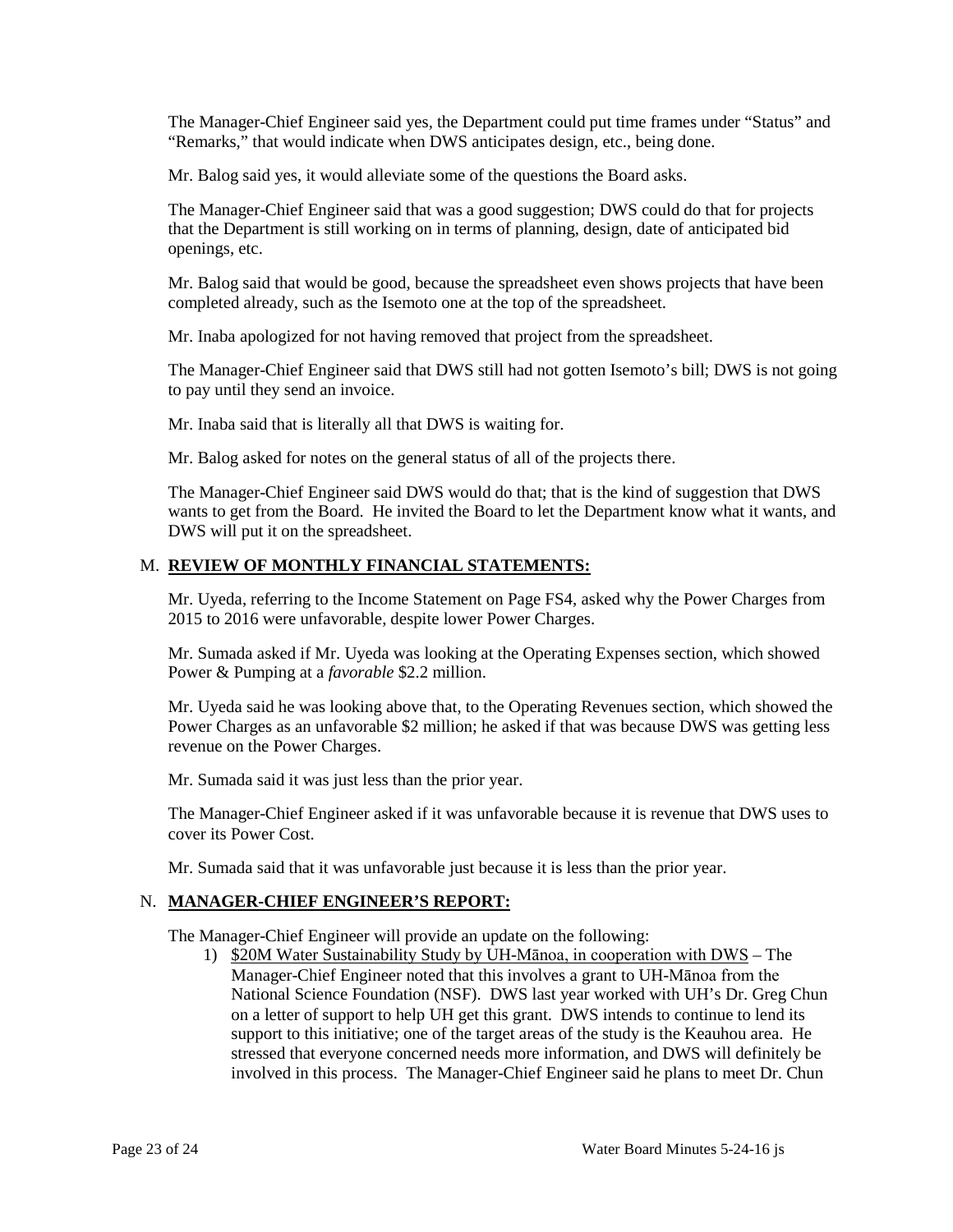The Manager-Chief Engineer said yes, the Department could put time frames under "Status" and "Remarks," that would indicate when DWS anticipates design, etc., being done.

Mr. Balog said yes, it would alleviate some of the questions the Board asks.

 that the Department is still working on in terms of planning, design, date of anticipated bid The Manager-Chief Engineer said that was a good suggestion; DWS could do that for projects openings, etc.

 Mr. Balog said that would be good, because the spreadsheet even shows projects that have been completed already, such as the Isemoto one at the top of the spreadsheet.

Mr. Inaba apologized for not having removed that project from the spreadsheet.

The Manager-Chief Engineer said that DWS still had not gotten Isemoto's bill; DWS is not going to pay until they send an invoice.

Mr. Inaba said that is literally all that DWS is waiting for.

Mr. Balog asked for notes on the general status of all of the projects there.

 wants to get from the Board. He invited the Board to let the Department know what it wants, and DWS will put it on the spreadsheet. The Manager-Chief Engineer said DWS would do that; that is the kind of suggestion that DWS

### M. **REVIEW OF MONTHLY FINANCIAL STATEMENTS:**

 Mr. Uyeda, referring to the Income Statement on Page FS4, asked why the Power Charges from 2015 to 2016 were unfavorable, despite lower Power Charges.

Mr. Sumada asked if Mr. Uyeda was looking at the Operating Expenses section, which showed Power & Pumping at a *favorable* \$2.2 million.

 Power Charges as an unfavorable \$2 million; he asked if that was because DWS was getting less Mr. Uyeda said he was looking above that, to the Operating Revenues section, which showed the revenue on the Power Charges.

Mr. Sumada said it was just less than the prior year.

 The Manager-Chief Engineer asked if it was unfavorable because it is revenue that DWS uses to cover its Power Cost.

Mr. Sumada said that it was unfavorable just because it is less than the prior year.

### N. **MANAGER-CHIEF ENGINEER'S REPORT:**

The Manager-Chief Engineer will provide an update on the following:

1) **\$20M Water Sustainability Study by UH-Manoa**, in cooperation with DWS – The on a letter of support to help UH get this grant. DWS intends to continue to lend its support to this initiative; one of the target areas of the study is the Keauhou area. He involved in this process. The Manager-Chief Engineer said he plans to meet Dr. Chun Manager-Chief Engineer noted that this involves a grant to UH-Mānoa from the National Science Foundation (NSF). DWS last year worked with UH's Dr. Greg Chun stressed that everyone concerned needs more information, and DWS will definitely be